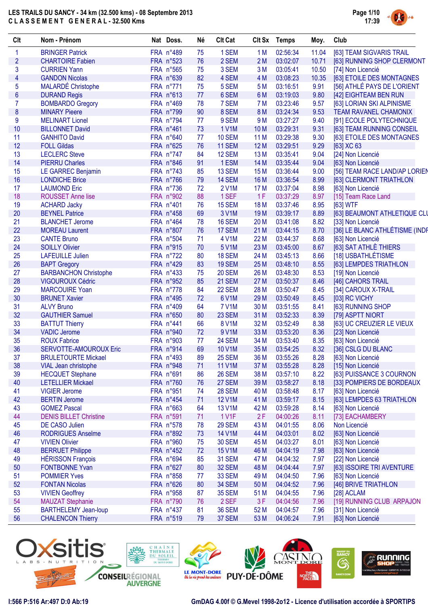

| Clt            | Nom - Prénom                                           | Nat Doss. | Né | <b>Clt Cat</b> | <b>Clt Sx</b>   | <b>Temps</b> | Moy.  | Club                           |
|----------------|--------------------------------------------------------|-----------|----|----------------|-----------------|--------------|-------|--------------------------------|
| 1              | <b>BRINGER Patrick</b>                                 | FRA n°489 | 75 | 1 SEM          | 1 M             | 02:56:34     | 11.04 | [63] TEAM SIGVARIS TRAIL       |
| $\overline{2}$ | <b>CHARTOIRE Fabien</b>                                | FRA n°523 | 76 | 2 SEM          | 2M              | 03:02:07     | 10.71 | [63] RUNNING SHOP CLERMONT     |
| 3              | <b>CURRIEN Yann</b>                                    | FRA n°565 | 75 | 3 SEM          | 3M              | 03:05:41     | 10.50 | [74] Non Licencié              |
| $\overline{4}$ | <b>GANDON Nicolas</b>                                  | FRA n°639 | 82 | 4 SEM          | 4 M             | 03:08:23     | 10.35 | [63] ETOILE DES MONTAGNES      |
| 5              | <b>MALARDÉ Christophe</b>                              | FRA n°771 | 75 | 5 SEM          | 5 M             | 03:16:51     | 9.91  | [56] ATHLÉ PAYS DE L'ORIENT    |
| $6\phantom{a}$ | <b>DURAND Regis</b>                                    | FRA n°613 | 77 | 6 SEM          | 6 M             | 03:19:03     | 9.80  | [42] EIGHTEAM BEN RUN          |
| $\overline{7}$ | <b>BOMBARDO Gregory</b>                                | FRA n°469 | 78 | 7 SEM          | 7 M             | 03:23:46     | 9.57  | [63] LORIAN SKI ALPINISME      |
| $\pmb{8}$      | <b>MINARY Pieere</b>                                   | FRA n°799 | 90 | 8 SEM          | 8 M             | 03:24:34     | 9.53  | <b>TEAM RAVANEL CHAMONIX</b>   |
| 9              | <b>MELINART Lionel</b>                                 | FRA n°794 | 77 | 9 SEM          | 9 M             | 03:27:27     | 9.40  | [91] ECOLE POLYTECHNIQUE       |
| 10             | <b>BILLONNET David</b>                                 | FRA n°461 | 73 | <b>1 V1M</b>   | 10 <sub>M</sub> | 03:29:31     | 9.31  | [63] TEAM RUNNING CONSEIL      |
| 11             | <b>GANHITO David</b>                                   | FRA n°640 | 77 | <b>10 SEM</b>  | 11 M            | 03:29:38     | 9.30  | [63] ETOILE DES MONTAGNES      |
| 12             | <b>FOLL Gildas</b>                                     | FRA n°625 | 76 | <b>11 SEM</b>  | 12 M            | 03:29:51     | 9.29  | [63] XC 63                     |
| 13             | <b>LECLERC Steve</b>                                   | FRA n°747 | 84 | 12 SEM         | 13 M            | 03:35:41     | 9.04  | [24] Non Licencié              |
| 14             | <b>PIERRU Charles</b>                                  | FRA n°846 | 91 | 1 ESM          | 14 M            | 03:35:44     | 9.04  | [63] Non Licencié              |
| 15             | LE GARREC Benjamin                                     | FRA n°743 | 85 | 13 SEM         | 15 M            | 03:36:44     | 9.00  | [56] TEAM RACE LAND/AP LORIEN  |
| 16             | <b>LONDICHE Brice</b>                                  | FRA n°766 | 79 | 14 SEM         | 16 M            | 03:36:54     | 8.99  | [63] CLERMONT TRIATHLON        |
| 17             | <b>LAUMOND Eric</b>                                    | FRA n°736 | 72 | 2 V1M          | 17 M            | 03:37:04     | 8.98  | [63] Non Licencié              |
| 18             | <b>ROUSSET Anne lise</b>                               | FRA n°902 | 88 | 1 SEF          | 1F              | 03:37:29     | 8.97  | [15] Team Race Land            |
| 19             | <b>ACHARD Jacky</b>                                    | FRA n°401 | 76 | 15 SEM         | 18 M            | 03:37:46     | 8.95  | [63] WTF                       |
| 20             | <b>BEYNEL Patrice</b>                                  | FRA n°458 | 69 | 3 V1M          | 19 <sub>M</sub> | 03:39:17     | 8.89  | [63] BEAUMONT ATHLETIQUE CLU   |
| 21             | <b>BLANCHET Jerome</b>                                 | FRA n°464 | 78 | 16 SEM         | 20 M            | 03:41:08     | 8.82  | [33] Non Licencié              |
| 22             | <b>MOREAU Laurent</b>                                  | FRA n°807 | 76 | 17 SEM         | 21 M            | 03:44:15     | 8.70  | [36] LE BLANC ATHLÉTISME (INDF |
| 23             | <b>CANTE Bruno</b>                                     | FRA n°504 | 71 | 4 V1M          | 22 M            | 03:44:37     | 8.68  |                                |
| 24             |                                                        |           |    |                |                 |              |       | [63] Non Licencié              |
|                | <b>SOILLY Olivier</b>                                  | FRA n°915 | 70 | 5 V1M          | 23 M            | 03:45:00     | 8.67  | [63] SAT ATHLE THIERS          |
| 25             | <b>LAFEUILLE Julien</b>                                | FRA n°722 | 80 | 18 SEM         | 24 M            | 03:45:13     | 8.66  | [18] USBATHLÉTISME             |
| 26             | <b>BAPT Gregory</b>                                    | FRA n°429 | 83 | <b>19 SEM</b>  | 25 M            | 03:48:10     | 8.55  | [63] LEMPDES TRIATHLON         |
| 27             | <b>BARBANCHON Christophe</b>                           | FRA n°433 | 75 | <b>20 SEM</b>  | 26 M            | 03:48:30     | 8.53  | [19] Non Licencié              |
| 28             | <b>VIGOUROUX Cédric</b>                                | FRA n°952 | 85 | 21 SEM         | 27 M            | 03:50:37     | 8.46  | [46] CAHORS TRAIL              |
| 29             | <b>MARCOUIRE Yoan</b>                                  | FRA n°778 | 84 | 22 SEM         | 28 M            | 03:50:47     | 8.45  | [34] CAROUX X-TRAIL            |
| 30             | <b>BRUNET Xavier</b>                                   | FRA n°495 | 72 | 6 V1M          | 29 M            | 03:50:49     | 8.45  | [03] RC VICHY                  |
| 31             | <b>ALVY Bruno</b>                                      | FRA n°409 | 64 | <b>7 V1M</b>   | 30 M            | 03:51:55     | 8.41  | [63] RUNNING SHOP              |
| 32             | <b>GAUTHIER Samuel</b>                                 | FRA n°650 | 80 | 23 SEM         | 31 M            | 03:52:33     | 8.39  | [79] ASPTT NIORT               |
| 33             | <b>BATTUT Thierry</b>                                  | FRA n°441 | 66 | <b>8 V1M</b>   | 32 M            | 03:52:49     | 8.38  | [63] UC CREUZIER LE VIEUX      |
| 34             | <b>VADIC Jerome</b>                                    | FRA n°940 | 72 | 9 V1M          | 33 M            | 03:53:20     | 8.36  | [23] Non Licencié              |
| 35             | <b>ROUX Fabrice</b>                                    | FRA n°903 | 77 | <b>24 SEM</b>  | 34 M            | 03:53:40     | 8.35  | [63] Non Licencié              |
| 36             | SERVOTTE-AMOUROUX Eric                                 | FRA n°914 | 69 | <b>10 V1M</b>  | 35 M            | 03:54:25     | 8.32  | [36] CSLG DU BLANC             |
| 37             | <b>BRULETOURTE Mickael</b>                             | FRA n°493 | 89 | <b>25 SEM</b>  | 36 M            | 03:55:26     |       | 8.28 [63] Non Licencié         |
| 38             | VIAL Jean christophe                                   | FRA n°948 | 71 | <b>11 V1M</b>  | 37 M            | 03:55:28     | 8.28  | [15] Non Licencié              |
| 39             | <b>HECQUET Stephane</b>                                | FRA n°691 | 86 | <b>26 SEM</b>  | 38 M            | 03:57:10     | 8.22  | [63] PUISSANCE 3 COURNON       |
| 40             | <b>LETELLIER Mickael</b>                               | FRA n°760 | 76 | 27 SEM         | 39 M            | 03:58:27     | 8.18  | [33] POMPIERS DE BORDEAUX      |
| 41             | <b>VIGIER Jerome</b>                                   | FRA n°951 | 74 | 28 SEM         | 40 M            | 03:58:48     | 8.17  | [63] Non Licencié              |
| 42             | <b>BERTIN Jerome</b>                                   | FRA n°454 | 71 | <b>12 V1M</b>  | 41 M            | 03:59:17     | 8.15  | [63] LEMPDES 63 TRIATHLON      |
| 43             | <b>GOMEZ Pascal</b>                                    | FRA n°663 | 64 | <b>13 V1M</b>  | 42 M            | 03:59:28     | 8.14  | [63] Non Licencié              |
| 44             | <b>DENIS BILLET Christine</b>                          | FRA n°591 | 71 | <b>1 V1F</b>   | 2F              | 04:00:26     | 8.11  | [73] EACHAMBERY                |
| 45             | DE CASO Julien                                         | FRA n°578 | 78 | <b>29 SEM</b>  | 43 M            | 04:01:55     | 8.06  | Non Licencié                   |
| 46             | <b>RODRIGUES Anselme</b>                               | FRA n°892 | 73 | <b>14 V1M</b>  | 44 M            | 04:03:01     | 8.02  | [63] Non Licencié              |
| 47             | <b>VIVIEN Olivier</b>                                  | FRA n°960 | 75 | <b>30 SEM</b>  | 45 M            | 04:03:27     | 8.01  | [63] Non Licencié              |
| 48             | <b>BERRUET Philippe</b>                                | FRA n°452 | 72 | 15 V1M         | 46 M            | 04:04:19     | 7.98  | [63] Non Licencié              |
| 49             | <b>HÉRISSON François</b>                               | FRA n°694 | 85 | <b>31 SEM</b>  | 47 M            | 04:04:32     | 7.97  | [22] Non Licencié              |
| 50             | <b>FONTBONNE Yvan</b>                                  | FRA n°627 | 80 | 32 SEM         | 48 M            | 04:04:44     | 7.97  | [63] ISSOIRE TRI AVENTURE      |
| 51             | <b>POMMIER Yves</b>                                    | FRA n°858 | 77 | <b>33 SEM</b>  | 49 M            | 04:04:50     | 7.96  | [63] Non Licencié              |
| 52             | <b>FONTAN Nicolas</b>                                  | FRA n°626 | 80 | 34 SEM         | 50 M            | 04:04:52     | 7.96  | [46] BRIVE TRIATHLON           |
| 53             | <b>VIVIEN Geoffrey</b>                                 | FRA n°958 | 87 | <b>35 SEM</b>  | 51 M            | 04:04:55     | 7.96  | [28] ACLAM                     |
|                |                                                        | FRA n°790 | 76 | 2 SEF          | 3F              | 04:04:56     | 7.96  | [19] RUNNING CLUB ARPAJON      |
|                |                                                        |           |    |                |                 |              |       |                                |
| 54<br>55       | <b>MAUZAT Stephanie</b><br><b>BARTHELEMY Jean-loup</b> | FRA n°437 | 81 | <b>36 SEM</b>  | 52 M            | 04:04:57     | 7.96  | [31] Non Licencié              |

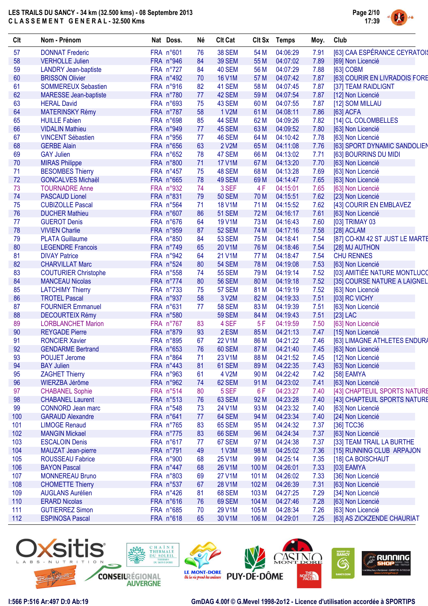

| Clt | Nom - Prénom                 | Nat Doss. | Né | <b>Clt Cat</b> |       | Clt Sx Temps | Moy. | Club                           |
|-----|------------------------------|-----------|----|----------------|-------|--------------|------|--------------------------------|
| 57  | <b>DONNAT Frederic</b>       | FRA n°601 | 76 | <b>38 SEM</b>  | 54 M  | 04:06:29     | 7.91 | [63] CAA ESPÉRANCE CEYRATOIS   |
| 58  | <b>VERHOLLE Julien</b>       | FRA n°946 | 84 | <b>39 SEM</b>  | 55 M  | 04:07:02     | 7.89 | [69] Non Licencié              |
| 59  | <b>LANDRY Jean-baptiste</b>  | FRA n°727 | 84 | 40 SEM         | 56 M  | 04:07:29     | 7.88 | [63] COBM                      |
| 60  | <b>BRISSON Olivier</b>       | FRA n°492 | 70 | <b>16 V1M</b>  | 57 M  | 04:07:42     | 7.87 | [63] COURIR EN LIVRADOIS FORE  |
| 61  | <b>SOMMEREUX Sebastien</b>   | FRA n°916 | 82 | 41 SEM         | 58 M  | 04:07:45     | 7.87 | [37] TEAM RAIDLIGNT            |
| 62  | <b>MARESSE Jean-baptiste</b> | FRA n°780 | 77 | 42 SEM         | 59 M  | 04:07:54     | 7.87 | [12] Non Licencié              |
| 63  | <b>HERAL David</b>           | FRA n°693 | 75 | 43 SEM         | 60 M  | 04:07:55     | 7.87 | [12] SOM MILLAU                |
| 64  | <b>MATERINSKY Rémy</b>       | FRA n°787 | 58 | 1 V2M          | 61 M  | 04:08:11     | 7.86 | [63] ACFA                      |
| 65  | <b>HUILLE Fabien</b>         | FRA n°698 | 85 | 44 SEM         | 62 M  | 04:09:26     | 7.82 | [14] CL COLOMBELLES            |
| 66  | <b>VIDALIN Mathieu</b>       | FRA n°949 | 77 | 45 SEM         | 63 M  | 04:09:52     | 7.80 | [63] Non Licencié              |
| 67  | <b>VINCENT Sébastien</b>     | FRA n°956 | 77 | 46 SEM         | 64 M  | 04:10:42     | 7.78 | [63] Non Licencié              |
| 68  | <b>GERBE Alain</b>           | FRA n°656 | 63 | 2 V2M          | 65 M  | 04:11:08     | 7.76 | [63] SPORT DYNAMIC SANDOLIEN   |
| 69  | <b>GAY Julien</b>            | FRA n°652 | 78 | 47 SEM         | 66 M  | 04:13:02     | 7.71 | [63] BOURRINS DU MIDI          |
| 70  | <b>MIRAS Philippe</b>        | FRA n°800 | 71 | <b>17 V1M</b>  | 67 M  | 04:13:20     | 7.70 | [63] Non Licencié              |
| 71  | <b>BESOMBES Thierry</b>      | FRA n°457 | 75 | 48 SEM         | 68 M  | 04:13:28     | 7.69 | [63] Non Licencié              |
| 72  | <b>GONCALVES Michaël</b>     | FRA n°665 | 78 | 49 SEM         | 69 M  | 04:14:47     | 7.65 | [63] Non Licencié              |
| 73  | <b>TOURNADRE Anne</b>        | FRA n°932 | 74 | 3 SEF          | 4F    | 04:15:01     | 7.65 | [63] Non Licencié              |
| 74  | <b>PASCAUD Lionel</b>        | FRA n°831 | 79 | <b>50 SEM</b>  | 70 M  | 04:15:51     | 7.62 | [23] Non Licencié              |
| 75  | <b>CUBIZOLLE Pascal</b>      | FRA n°564 | 71 | <b>18 V1M</b>  | 71 M  | 04:15:52     | 7.62 | [43] COURIR EN EMBLAVEZ        |
|     |                              |           |    |                |       |              |      |                                |
| 76  | <b>DUCHER Mathieu</b>        | FRA n°607 | 86 | <b>51 SEM</b>  | 72 M  | 04:16:17     | 7.61 | [63] Non Licencié              |
| 77  | <b>GUEROT Denis</b>          | FRA n°676 | 64 | <b>19 V1M</b>  | 73 M  | 04:16:43     | 7.60 | [03] TRIMAY 03                 |
| 78  | <b>VIVIEN Charlie</b>        | FRA n°959 | 87 | <b>52 SEM</b>  | 74 M  | 04:17:16     | 7.58 | [28] ACLAM                     |
| 79  | <b>PLATA Guillaume</b>       | FRA n°850 | 84 | <b>53 SEM</b>  | 75 M  | 04:18:41     | 7.54 | [87] CO-KM 42 ST JUST LE MARTE |
| 80  | <b>LEGENDRE Francois</b>     | FRA n°749 | 65 | 20 V1M         | 76 M  | 04:18:46     | 7.54 | [28] MJ AUTHON                 |
| 81  | <b>DIVAY Patrice</b>         | FRA n°942 | 64 | 21 V1M         | 77 M  | 04:18:47     | 7.54 | <b>CHU RENNES</b>              |
| 82  | <b>CHARVILLAT Marc</b>       | FRA n°524 | 80 | <b>54 SEM</b>  | 78 M  | 04:19:08     | 7.53 | [63] Non Licencié              |
| 83  | <b>COUTURIER Christophe</b>  | FRA n°558 | 74 | <b>55 SEM</b>  | 79 M  | 04:19:14     | 7.52 | [03] AMITIÉE NATURE MONTLUCO   |
| 84  | <b>MANCEAU Nicolas</b>       | FRA n°774 | 80 | <b>56 SEM</b>  | 80 M  | 04:19:18     | 7.52 | [35] COURSE NATURE A LAIGNEL   |
| 85  | <b>LATCHIMY Thierry</b>      | FRA n°733 | 75 | 57 SEM         | 81 M  | 04:19:19     | 7.52 | [63] Non Licencié              |
| 86  | <b>TROTEL Pascal</b>         | FRA n°937 | 58 | 3 V2M          | 82 M  | 04:19:33     | 7.51 | [03] RC VICHY                  |
| 87  | <b>FOURNIER Emmanuel</b>     | FRA n°631 | 77 | <b>58 SEM</b>  | 83 M  | 04:19:39     | 7.51 | [63] Non Licencié              |
| 88  | <b>DECOURTEIX Rémy</b>       | FRA n°580 |    | <b>59 SEM</b>  | 84 M  | 04:19:43     | 7.51 | $[23]$ LAC                     |
| 89  | <b>LORBLANCHET Marion</b>    | FRA n°767 | 83 | 4 SEF          | 5F    | 04:19:59     | 7.50 | [63] Non Licencié              |
| 90  | <b>REYGADE Pierre</b>        | FRA n°879 | 93 | 2 ESM          | 85 M  | 04:21:13     | 7.47 | [15] Non Licencié              |
| 91  | <b>RONCIER Xavier</b>        | FRA n°895 | 67 | <b>22 V1M</b>  | 86 M  | 04:21:22     | 7.46 | [63] LIMAGNE ATHLETES ENDURA   |
| 92  | <b>GENDARME Bertrand</b>     | FRA n°653 | 76 | 60 SEM         | 87 M  | 04:21:40     | 7.45 | [63] Non Licencié              |
| 93  | POUJET Jerome                | FRA n°864 | 71 | 23 V1M         | 88 M  | 04:21:52     | 7.45 | [12] Non Licencié              |
| 94  | <b>BAY Julien</b>            | FRA n°443 | 81 | 61 SEM         | 89 M  | 04:22:35     | 7.43 | [63] Non Licencié              |
| 95  | <b>ZAGHET Thierry</b>        | FRA n°963 | 61 | 4 V2M          | 90 M  | 04:22:42     | 7.42 | [58] EAMYA                     |
| 96  | WIERZBA Jérôme               | FRA n°962 | 74 | 62 SEM         | 91 M  | 04:23:02     | 7.41 | [63] Non Licencié              |
| 97  | <b>CHABANEL Sophie</b>       | FRA n°514 | 80 | 5 SEF          | 6F    | 04:23:27     | 7.40 | [43] CHAPTEUIL SPORTS NATURE   |
| 98  | <b>CHABANEL Laurent</b>      | FRA n°513 | 76 | 63 SEM         | 92 M  | 04:23:28     | 7.40 | [43] CHAPTEUIL SPORTS NATURE   |
| 99  | <b>CONNORD Jean marc</b>     | FRA n°548 | 73 | 24 V1M         | 93 M  | 04:23:32     | 7.40 | [63] Non Licencié              |
| 100 | <b>GARAUD Alexandre</b>      | FRA n°641 | 77 | 64 SEM         | 94 M  | 04:23:34     | 7.40 | [24] Non Licencié              |
| 101 | <b>LIMOGE Renaud</b>         | FRA n°765 | 83 | <b>65 SEM</b>  | 95 M  | 04:24:32     | 7.37 | [36] TCC36                     |
| 102 | <b>MANGIN Mickael</b>        | FRA n°775 | 83 | <b>66 SEM</b>  | 96 M  | 04:24:34     | 7.37 | [63] Non Licencié              |
| 103 | <b>ESCALOIN Denis</b>        | FRA n°617 | 77 | 67 SEM         | 97 M  | 04:24:38     | 7.37 | [33] TEAM TRAIL LA BURTHE      |
| 104 | MAUZAT Jean-pierre           | FRA n°791 | 49 | 1 V3M          | 98 M  | 04:25:02     | 7.36 | [15] RUNNING CLUB ARPAJON      |
| 105 | <b>ROUSSEAU Fabrice</b>      |           | 68 | 25 V1M         |       | 04:25:14     |      |                                |
|     |                              | FRA n°900 |    | 26 V1M         | 99 M  | 04:26:01     | 7.35 | [18] CA BOISCHAUT              |
| 106 | <b>BAYON Pascal</b>          | FRA n°447 | 68 |                | 100 M |              | 7.33 | [03] EAMYA                     |
| 107 | <b>MONNEREAU Bruno</b>       | FRA n°803 | 69 | 27 V1M         | 101 M | 04:26:02     | 7.33 | [36] Non Licencié              |
| 108 | <b>CHOMETTE Thierry</b>      | FRA n°537 | 67 | 28 V1M         | 102 M | 04:26:39     | 7.31 | [63] Non Licencié              |
| 109 | <b>AUGLANS Aurélien</b>      | FRA n°426 | 81 | <b>68 SEM</b>  | 103 M | 04:27:25     | 7.29 | [34] Non Licencié              |
| 110 | <b>ERARD Nicolas</b>         | FRA n°616 | 76 | 69 SEM         | 104 M | 04:27:46     | 7.28 | [63] Non Licencié              |
| 111 | <b>GUTIERREZ Simon</b>       | FRA n°685 | 70 | 29 V1M         | 105 M | 04:28:34     | 7.26 | [63] Non Licencié              |
| 112 | <b>ESPINOSA Pascal</b>       | FRA n°618 | 65 | 30 V1M         | 106 M | 04:29:01     | 7.25 | [63] AS ZICKZENDE CHAURIAT     |

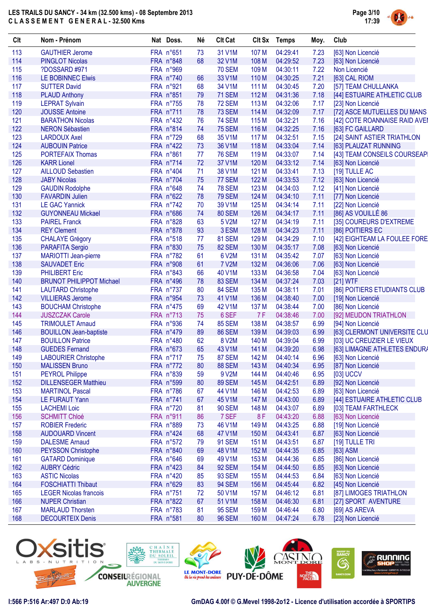

| Clt | Nom - Prénom                    | Nat Doss. | Né | <b>Clt Cat</b> |       | Clt Sx Temps | Moy.         | Club                          |
|-----|---------------------------------|-----------|----|----------------|-------|--------------|--------------|-------------------------------|
| 113 | <b>GAUTHIER Jerome</b>          | FRA n°651 | 73 | 31 V1M         | 107 M | 04:29:41     | 7.23         | [63] Non Licencié             |
| 114 | <b>PINGLOT Nicolas</b>          | FRA n°848 | 68 | 32 V1M         | 108 M | 04:29:52     | 7.23         | [63] Non Licencié             |
| 115 | ?DOSSARD #971                   | FRA n°969 |    | <b>70 SEM</b>  | 109 M | 04:30:11     | 7.22         | Non Licencié                  |
| 116 | <b>LE BOBINNEC Elwis</b>        | FRA n°740 | 66 | 33 V1M         | 110 M | 04:30:25     | 7.21         | [63] CAL RIOM                 |
| 117 | <b>SUTTER David</b>             | FRA n°921 | 68 | 34 V1M         | 111 M | 04:30:45     | 7.20         | [57] TEAM CHULLANKA           |
| 118 | <b>PLAUD Anthony</b>            | FRA n°851 | 79 | <b>71 SEM</b>  | 112 M | 04:31:36     | 7.18         | [44] ESTUAIRE ATHLETIC CLUB   |
| 119 | <b>LEPRAT Sylvain</b>           | FRA n°755 | 78 | <b>72 SEM</b>  | 113 M | 04:32:06     | 7.17         | [23] Non Licencié             |
| 120 | <b>JOUSSE Antoine</b>           | FRA n°711 | 78 | <b>73 SEM</b>  | 114 M | 04:32:09     | 7.17         | [72] ASCE MUTUELLES DU MANS   |
| 121 | <b>BARATHON Nicolas</b>         | FRA n°432 | 76 | <b>74 SEM</b>  | 115 M | 04:32:21     | 7.16         | [42] COTE ROANNAISE RAID AVEI |
| 122 | <b>NERON Sébastien</b>          | FRA n°814 | 74 | <b>75 SEM</b>  | 116 M | 04:32:25     | 7.16         | [63] FC GAILLARD              |
| 123 | <b>LARDOUX Axel</b>             | FRA n°729 | 68 | 35 V1M         | 117 M | 04:32:51     | 7.15         | [24] SAINT ASTIER TRIATHLON   |
| 124 | <b>AUBOUIN Patrice</b>          | FRA n°422 | 73 | 36 V1M         | 118 M | 04:33:04     | 7.14         | [63] PLAUZAT RUNNING          |
| 125 | <b>PORTEFAIX Thomas</b>         | FRA n°861 | 77 | <b>76 SEM</b>  | 119 M | 04:33:07     | 7.14         | [43] TEAM CONSEILS COURSEAP   |
| 126 | <b>KARR Lionel</b>              | FRA n°714 | 72 | 37 V1M         | 120 M | 04:33:12     | 7.14         | [63] Non Licencié             |
| 127 | <b>AILLOUD Sebastien</b>        | FRA n°404 | 71 | 38 V1M         | 121 M | 04:33:41     |              |                               |
| 128 | <b>JABY Nicolas</b>             | FRA n°704 | 75 | 77 SEM         | 122 M | 04:33:53     | 7.13<br>7.12 | [19] TULLE AC                 |
| 129 |                                 | FRA n°648 |    |                | 123 M | 04:34:03     |              | [63] Non Licencié             |
| 130 | <b>GAUDIN Rodolphe</b>          |           | 74 | <b>78 SEM</b>  |       |              | 7.12         | [41] Non Licencié             |
|     | <b>FAVARDIN Julien</b>          | FRA n°622 | 78 | <b>79 SEM</b>  | 124 M | 04:34:10     | 7.11         | [77] Non Licencié             |
| 131 | <b>LE GAC Yannick</b>           | FRA n°742 | 70 | 39 V1M         | 125 M | 04:34:14     | 7.11         | [22] Non Licencié             |
| 132 | <b>GUYONNEAU Mickael</b>        | FRA n°686 | 74 | 80 SEM         | 126 M | 04:34:17     | 7.11         | [86] AS VOUILLÉ 86            |
| 133 | <b>PAIREL Franck</b>            | FRA n°828 | 63 | 5 V2M          | 127 M | 04:34:19     | 7.11         | [35] COUREURS D'EXTREME       |
| 134 | <b>REY Clement</b>              | FRA n°878 | 93 | 3 ESM          | 128 M | 04:34:23     | 7.11         | [86] POITIERS EC              |
| 135 | <b>CHALAYE Grégory</b>          | FRA n°518 | 77 | 81 SEM         | 129 M | 04:34:29     | 7.10         | [42] EIGHTEAM LA FOULEE FORE  |
| 136 | PARAFITA Sergio                 | FRA n°830 | 75 | 82 SEM         | 130 M | 04:35:17     | 7.08         | [63] Non Licencié             |
| 137 | MARIOTTI Jean-pierre            | FRA n°782 | 61 | 6 V2M          | 131 M | 04:35:42     | 7.07         | [63] Non Licencié             |
| 138 | <b>SAUVADET Eric</b>            | FRA n°908 | 61 | <b>7 V2M</b>   | 132 M | 04:36:06     | 7.06         | [63] Non Licencié             |
| 139 | PHILIBERT Eric                  | FRA n°843 | 66 | 40 V1M         | 133 M | 04:36:58     | 7.04         | [63] Non Licencié             |
| 140 | <b>BRUNOT PHILIPPOT Michael</b> | FRA n°496 | 78 | 83 SEM         | 134 M | 04:37:24     | 7.03         | [21] WTF                      |
| 141 | <b>LAUTARD Christophe</b>       | FRA n°737 | 80 | 84 SEM         | 135 M | 04:38:11     | 7.01         | [86] POITIERS ETUDIANTS CLUB  |
| 142 | <b>VILLIERAS Jerome</b>         | FRA n°954 | 73 | 41 V1M         | 136 M | 04:38:40     | 7.00         | [19] Non Licencié             |
| 143 | <b>BOUCHAM Christophe</b>       | FRA n°475 | 69 | 42 V1M         | 137 M | 04:38:44     | 7.00         | [86] Non Licencié             |
| 144 | <b>JUSZCZAK Carole</b>          | FRA n°713 | 75 | 6 SEF          | 7 F   | 04:38:46     | 7.00         | [92] MEUDON TRIATHLON         |
| 145 | <b>TRIMOULET Arnaud</b>         | FRA n°936 | 74 | <b>85 SEM</b>  | 138 M | 04:38:57     | 6.99         | [94] Non Licencié             |
| 146 | <b>BOUILLON Jean-baptiste</b>   | FRA n°479 | 89 | <b>86 SEM</b>  | 139 M | 04:39:03     | 6.99         | [63] CLERMONT UNIVERSITE CLU  |
| 147 | <b>BOUILLON Patrice</b>         | FRA n°480 | 62 | 8 V2M          | 140 M | 04:39:04     | 6.99         | [03] UC CREUZIER LE VIEUX     |
| 148 | <b>GUEDES Fernand</b>           | FRA n°673 | 65 | 43 V1M         | 141 M | 04:39:20     | 6.98         | [63] LIMAGNE ATHLETES ENDURA  |
| 149 | <b>LABOURIER Christophe</b>     | FRA n°717 | 75 | <b>87 SEM</b>  | 142 M | 04:40:14     | 6.96         | [63] Non Licencié             |
| 150 | <b>MALISSEN Bruno</b>           | FRA n°772 | 80 | 88 SEM         | 143 M | 04:40:34     | 6.95         | [87] Non Licencié             |
| 151 | <b>PEYROL Philippe</b>          | FRA n°839 | 59 | 9 V2M          | 144 M | 04:40:46     | 6.95         | [03] UCCV                     |
| 152 | <b>DILLENSEGER Matthieu</b>     | FRA n°599 | 80 | <b>89 SEM</b>  | 145 M | 04:42:51     | 6.89         | [92] Non Licencié             |
| 153 | <b>MARTINOL Pascal</b>          | FRA n°786 | 67 | 44 V1M         | 146 M | 04:42:53     | 6.89         | [63] Non Licencié             |
| 154 | LE FURAUT Yann                  | FRA n°741 | 67 | 45 V1M         | 147 M | 04:43:00     | 6.89         | [44] ESTUAIRE ATHLETIC CLUB   |
| 155 | <b>LACHEMI Loic</b>             | FRA n°720 | 81 | <b>90 SEM</b>  | 148 M | 04:43:07     | 6.89         | [03] TEAM FARTHLECK           |
| 156 | <b>SCHMITT Chloé</b>            | FRA n°911 | 86 | 7 SEF          | 8F    | 04:43:20     | 6.88         | [63] Non Licencié             |
| 157 | <b>ROBIER Frederic</b>          | FRA n°889 | 73 | 46 V1M         | 149 M | 04:43:25     | 6.88         | [19] Non Licencié             |
| 158 | <b>AUDOUARD Vincent</b>         | FRA n°424 | 68 | 47 V1M         | 150 M | 04:43:41     | 6.87         | [63] Non Licencié             |
| 159 | <b>DALESME Arnaud</b>           | FRA n°572 | 79 | <b>91 SEM</b>  | 151 M | 04:43:51     | 6.87         | [19] TULLE TRI                |
| 160 | <b>PEYSSON Christophe</b>       | FRA n°840 | 69 | 48 V1M         | 152 M | 04:44:35     | 6.85         | [63] ASM                      |
| 161 | <b>GATARD Dominique</b>         | FRA n°646 | 69 | 49 V1M         | 153 M | 04:44:36     | 6.85         | [86] Non Licencié             |
| 162 | <b>AUBRY Cédric</b>             | FRA n°423 | 84 | 92 SEM         | 154 M | 04:44:50     | 6.85         | [63] Non Licencié             |
| 163 | <b>ASTIC Nicolas</b>            | FRA n°420 | 85 | <b>93 SEM</b>  | 155 M | 04:44:53     | 6.84         | [63] Non Licencié             |
| 164 | <b>FOSCHIATTI Thibaut</b>       | FRA n°629 | 83 | <b>94 SEM</b>  | 156 M | 04:45:44     | 6.82         | [45] Non Licencié             |
| 165 | <b>LEGER Nicolas francois</b>   | FRA n°751 | 72 | 50 V1M         | 157 M | 04:46:12     | 6.81         | [87] LIMOGES TRIATHLON        |
| 166 |                                 |           |    |                |       |              |              |                               |
|     | <b>NUPER Christian</b>          | FRA n°822 | 67 | 51 V1M         | 158 M | 04:46:30     | 6.81         | [27] SPORT AVENTURE           |
| 167 | <b>MARLAUD Thorsten</b>         | FRA n°783 | 81 | <b>95 SEM</b>  | 159 M | 04:46:44     | 6.80         | [69] AS AREVA                 |
| 168 | <b>DECOURTEIX Denis</b>         | FRA n°581 | 80 | <b>96 SEM</b>  | 160 M | 04:47:24     | 6.78         | [23] Non Licencié             |

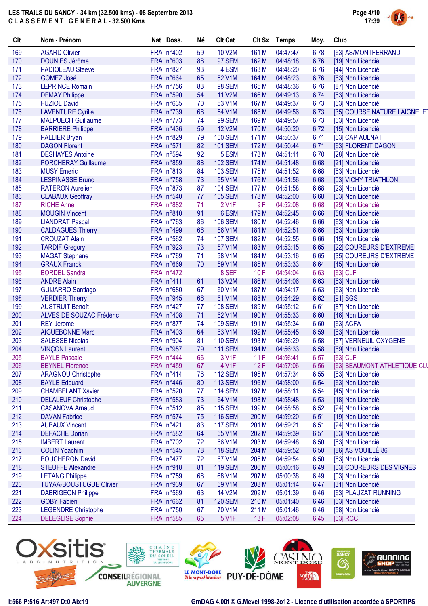

| Clt | Nom - Prénom                   | Nat Doss. | Né | <b>Clt Cat</b> |       | Clt Sx Temps | Moy. | Club                         |
|-----|--------------------------------|-----------|----|----------------|-------|--------------|------|------------------------------|
| 169 | <b>AGARD Olivier</b>           | FRA n°402 | 59 | <b>10 V2M</b>  | 161 M | 04:47:47     | 6.78 | [63] AS/MONTFERRAND          |
| 170 | <b>DOUNIES Jérôme</b>          | FRA n°603 | 88 | <b>97 SEM</b>  | 162 M | 04:48:18     | 6.76 | [19] Non Licencié            |
| 171 | <b>PADIOLEAU Steeve</b>        | FRA n°827 | 93 | 4 ESM          | 163 M | 04:48:20     | 6.76 | [44] Non Licencié            |
| 172 | <b>GOMEZ José</b>              | FRA n°664 | 65 | 52 V1M         | 164 M | 04:48:23     | 6.76 | [63] Non Licencié            |
| 173 | <b>LEPRINCE Romain</b>         | FRA n°756 | 83 | <b>98 SEM</b>  | 165 M | 04:48:36     | 6.76 | [87] Non Licencié            |
| 174 | <b>DEMAY Philippe</b>          | FRA n°590 | 54 | <b>11 V2M</b>  | 166 M | 04:49:13     | 6.74 | [63] Non Licencié            |
| 175 | <b>FUZIOL David</b>            | FRA n°635 | 70 | 53 V1M         | 167 M | 04:49:37     | 6.73 | [63] Non Licencié            |
| 176 | <b>LAVENTURE Cyrille</b>       | FRA n°739 | 68 | 54 V1M         | 168 M | 04:49:56     | 6.73 | [35] COURSE NATURE LAIGNELET |
| 177 | <b>MALPUECH Guillaume</b>      | FRA n°773 | 74 | <b>99 SEM</b>  | 169 M | 04:49:57     | 6.73 | [63] Non Licencié            |
| 178 | <b>BARRIERE Philippe</b>       | FRA n°436 | 59 | <b>12 V2M</b>  | 170 M | 04:50:20     | 6.72 | [15] Non Licencié            |
| 179 | <b>PALLIER Bryan</b>           | FRA n°829 | 79 | <b>100 SEM</b> | 171 M | 04:50:37     | 6.71 | [63] CAP AULNAT              |
| 180 | <b>DAGON Florent</b>           | FRA n°571 | 82 | <b>101 SEM</b> | 172 M | 04:50:44     | 6.71 | [63] FLORENT DAGON           |
| 181 | <b>DESHAYES Antoine</b>        | FRA n°594 | 92 | 5 ESM          | 173 M | 04:51:11     | 6.70 | [28] Non Licencié            |
| 182 | <b>PORCHERAY Guillaume</b>     | FRA n°859 | 88 | <b>102 SEM</b> | 174 M | 04:51:48     | 6.68 | [21] Non Licencié            |
| 183 | <b>MUSY Emeric</b>             | FRA n°813 | 84 | <b>103 SEM</b> | 175 M | 04:51:52     | 6.68 | [63] Non Licencié            |
| 184 | <b>LESPINASSE Bruno</b>        | FRA n°758 | 73 | 55 V1M         | 176 M | 04:51:56     | 6.68 | [03] VICHY TRIATHLON         |
| 185 | <b>RATERON Aurelien</b>        | FRA n°873 | 87 | <b>104 SEM</b> | 177 M | 04:51:58     | 6.68 | [23] Non Licencié            |
| 186 | <b>CLABAUX Geoffray</b>        | FRA n°540 | 77 | <b>105 SEM</b> | 178 M | 04:52:00     | 6.68 | [63] Non Licencié            |
| 187 | <b>RICHE Anne</b>              | FRA n°882 | 71 | 2 V1F          | 9F    | 04:52:08     | 6.68 | [29] Non Licencié            |
| 188 | <b>MOUGIN Vincent</b>          | FRA n°810 | 91 | 6ESM           | 179 M | 04:52:45     | 6.66 | [58] Non Licencié            |
| 189 | <b>LIANDRAT Pascal</b>         | FRA n°763 | 86 | <b>106 SEM</b> | 180 M | 04:52:46     | 6.66 | [63] Non Licencié            |
| 190 | <b>CALDAGUES Thierry</b>       | FRA n°499 | 66 | 56 V1M         | 181 M | 04:52:51     | 6.66 | [63] Non Licencié            |
| 191 | <b>CROUZAT Alain</b>           | FRA n°562 | 74 | <b>107 SEM</b> | 182 M | 04:52:55     | 6.66 | [15] Non Licencié            |
| 192 | <b>TARDIF Gregory</b>          | FRA n°923 | 73 | 57 V1M         | 183 M | 04:53:15     | 6.65 | [22] COUREURS D'EXTREME      |
| 193 | <b>MAGAT Stephane</b>          | FRA n°769 | 71 | 58 V1M         | 184 M | 04:53:16     | 6.65 | [35] COUREURS D'EXTREME      |
| 194 | <b>GRAUX Franck</b>            | FRA n°669 | 70 | 59 V1M         | 185 M | 04:53:33     | 6.64 | [45] Non Licencié            |
| 195 | <b>BORDEL Sandra</b>           | FRA n°472 |    | 8 SEF          | 10F   | 04:54:04     | 6.63 | [63] CLF                     |
| 196 | <b>ANDRE Alain</b>             | FRA n°411 | 61 | <b>13 V2M</b>  | 186 M | 04:54:06     | 6.63 | [63] Non Licencié            |
| 197 | <b>GUIJARRO Santiago</b>       | FRA n°680 | 67 | 60 V1M         | 187 M | 04:54:17     | 6.63 | [63] Non Licencié            |
| 198 | <b>VERDIER Thierry</b>         | FRA n°945 | 66 | 61 V1M         | 188 M | 04:54:29     | 6.62 | [91] SGS                     |
| 199 | <b>AUSTRUIT Benoît</b>         | FRA n°427 | 77 | <b>108 SEM</b> | 189 M | 04:55:12     | 6.61 | [87] Non Licencié            |
| 200 | ALVES DE SOUZAC Frédéric       | FRA n°408 | 71 | 62 V1M         | 190 M | 04:55:33     | 6.60 | [46] Non Licencié            |
| 201 | <b>REY Jerome</b>              | FRA n°877 | 74 | <b>109 SEM</b> | 191 M | 04:55:34     | 6.60 | [63] ACFA                    |
| 202 | <b>AIGUEBONNE Marc</b>         | FRA n°403 | 64 | 63 V1M         | 192 M | 04:55:45     | 6.59 | [63] Non Licencié            |
| 203 | <b>SALESSE Nicolas</b>         | FRA n°904 | 81 | <b>110 SEM</b> | 193 M | 04:56:29     | 6.58 | [87] VERNEUIL OXYGÈNE        |
| 204 | <b>VINÇON Laurent</b>          | FRA n°957 | 79 | <b>111 SEM</b> | 194 M | 04:56:33     | 6.58 | [69] Non Licencié            |
| 205 | <b>BAYLE Pascale</b>           | FRA n°444 | 66 | 3 V1F          | 11F   | 04:56:41     | 6.57 | $[63]$ CLF                   |
| 206 | <b>BEYNEL Florence</b>         | FRA n°459 | 67 | 4 V1F          | 12F   | 04:57:06     | 6.56 | [63] BEAUMONT ATHLETIQUE CLU |
| 207 | <b>ARAGNOU Christophe</b>      | FRA n°414 | 76 | <b>112 SEM</b> | 195 M | 04:57:34     | 6.55 | [63] Non Licencié            |
| 208 | <b>BAYLE Edouard</b>           | FRA n°446 | 80 | <b>113 SEM</b> | 196 M | 04:58:00     | 6.54 | [63] Non Licencié            |
| 209 | <b>CHAMBELANT Xavier</b>       | FRA n°520 | 77 | <b>114 SEM</b> | 197 M | 04:58:11     | 6.54 | [45] Non Licencié            |
| 210 | <b>DELALEUF Christophe</b>     | FRA n°583 | 73 | 64 V1M         | 198 M | 04:58:48     | 6.53 | [18] Non Licencié            |
| 211 | <b>CASANOVA Arnaud</b>         | FRA n°512 | 85 | <b>115 SEM</b> | 199 M | 04:58:58     | 6.52 | [24] Non Licencié            |
| 212 | <b>DAVAN Fabrice</b>           | FRA n°574 | 75 | <b>116 SEM</b> | 200 M | 04:59:20     | 6.51 | [19] Non Licencié            |
| 213 | <b>AUBAUX Vincent</b>          | FRA n°421 | 83 | <b>117 SEM</b> | 201 M | 04:59:21     | 6.51 | [24] Non Licencié            |
| 214 | <b>DEFACHE Dorian</b>          | FRA n°582 | 64 | 65 V1M         | 202 M | 04:59:39     | 6.51 | [63] Non Licencié            |
| 215 | <b>IMBERT Laurent</b>          | FRA n°702 | 72 | 66 V1M         | 203 M | 04:59:48     | 6.50 | [63] Non Licencié            |
| 216 | <b>COLIN Yoachim</b>           | FRA n°545 | 78 | <b>118 SEM</b> | 204 M | 04:59:52     | 6.50 | [86] AS VOUILLÉ 86           |
| 217 | <b>BOUCHERON David</b>         | FRA n°477 | 72 | 67 V1M         | 205 M | 04:59:54     | 6.50 | [63] Non Licencié            |
| 218 | <b>STEUFFE Alexandre</b>       | FRA n°918 | 81 | <b>119 SEM</b> | 206 M | 05:00:16     | 6.49 | [03] COUREURS DES VIGNES     |
| 219 | <b>LÉTANG Philippe</b>         | FRA n°759 | 68 | 68 V1M         | 207 M | 05:00:38     | 6.49 | [03] Non Licencié            |
| 220 | <b>TUYAA-BOUSTUGUE Olivier</b> | FRA n°939 | 67 | 69 V1M         | 208 M | 05:01:14     | 6.47 | [31] Non Licencié            |
| 221 | <b>DABRIGEON Philippe</b>      | FRA n°569 | 63 | 14 V2M         | 209 M | 05:01:39     | 6.46 | [63] PLAUZAT RUNNING         |
| 222 | <b>GOBY Fabien</b>             | FRA n°662 | 81 | <b>120 SEM</b> | 210 M | 05:01:40     | 6.46 | [63] Non Licencié            |
| 223 | <b>LEGENDRE Christophe</b>     | FRA n°750 | 67 | 70 V1M         | 211 M | 05:01:46     | 6.46 | [58] Non Licencié            |
| 224 | <b>DELEGLISE Sophie</b>        | FRA n°585 | 65 | 5 V1F          | 13F   | 05:02:08     | 6.45 | [63] RCC                     |
|     |                                |           |    |                |       |              |      |                              |

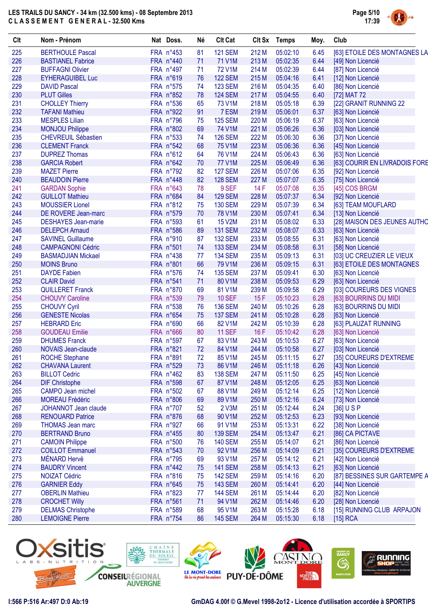

| Clt | Nom - Prénom               | Nat Doss.              | Né | <b>Clt Cat</b> |       | Clt Sx Temps | Moy. | Club                          |
|-----|----------------------------|------------------------|----|----------------|-------|--------------|------|-------------------------------|
| 225 | <b>BERTHOULE Pascal</b>    | FRA n°453              | 81 | <b>121 SEM</b> | 212 M | 05:02:10     | 6.45 | [63] ETOILE DES MONTAGNES LA  |
| 226 | <b>BASTIANEL Fabrice</b>   | FRA n°440              | 71 | 71 V1M         | 213 M | 05:02:35     | 6.44 | [49] Non Licencié             |
| 227 | <b>BUFFAGNI Olivier</b>    | FRA n°497              | 71 | <b>72 V1M</b>  | 214 M | 05:02:39     | 6.44 | [87] Non Licencié             |
| 228 | <b>EYHERAGUIBEL Luc</b>    | FRA n°619              | 76 | <b>122 SEM</b> | 215 M | 05:04:16     | 6.41 | [12] Non Licencié             |
| 229 | <b>DAVID Pascal</b>        | FRA n°575              | 74 | <b>123 SEM</b> | 216 M | 05:04:35     | 6.40 | [86] Non Licencié             |
| 230 | <b>PLUT Gilles</b>         | FRA n°852              | 78 | <b>124 SEM</b> | 217 M | 05:04:55     | 6.40 | [72] MAT 72                   |
| 231 | <b>CHOLLEY Thierry</b>     | FRA n°536              | 65 | 73 V1M         | 218 M | 05:05:18     | 6.39 | [22] GRANIT RUNNING 22        |
| 232 | <b>TAFANI Mathieu</b>      | FRA n°922              | 91 | 7 ESM          | 219 M | 05:06:01     | 6.37 | [63] Non Licencié             |
| 233 | <b>MESPLES Lilian</b>      | FRA n°796              | 75 | <b>125 SEM</b> | 220 M | 05:06:19     | 6.37 | [63] Non Licencié             |
| 234 | <b>MONJOU Philippe</b>     | FRA n°802              | 69 | 74 V1M         | 221 M | 05:06:26     | 6.36 | [03] Non Licencié             |
| 235 | <b>CHEVREUIL Sébastien</b> | FRA n°533              | 74 | <b>126 SEM</b> | 222 M | 05:06:30     | 6.36 | [37] Non Licencié             |
| 236 | <b>CLEMENT Franck</b>      | FRA n°542              | 68 | <b>75 V1M</b>  | 223 M | 05:06:36     | 6.36 | [45] Non Licencié             |
| 237 | <b>DUPREZ Thomas</b>       | FRA n°612              | 64 | 76 V1M         | 224 M | 05:06:43     | 6.36 | [63] Non Licencié             |
| 238 | <b>GARCIA Robert</b>       | FRA n°642              | 70 | <b>77 V1M</b>  | 225 M | 05:06:49     | 6.36 | [63] COURIR EN LIVRADOIS FORE |
| 239 | <b>MAZET Pierre</b>        | FRA n°792              | 82 | <b>127 SEM</b> | 226 M | 05:07:06     | 6.35 | [92] Non Licencié             |
| 240 | <b>BEAUDOIN Pierre</b>     | FRA n°448              | 82 | <b>128 SEM</b> | 227 M | 05:07:07     | 6.35 | [75] Non Licencié             |
| 241 |                            | FRA n°643              | 78 | 9 SEF          | 14F   |              | 6.35 |                               |
|     | <b>GARDAN Sophie</b>       |                        |    | <b>129 SEM</b> |       | 05:07:08     |      | [45] COS BRGM                 |
| 242 | <b>GUILLOT Mathieu</b>     | FRA n°684<br>FRA n°812 | 84 |                | 228 M | 05:07:37     | 6.34 | [92] Non Licencié             |
| 243 | <b>MOUSSIER Lionel</b>     |                        | 75 | <b>130 SEM</b> | 229 M | 05:07:39     | 6.34 | [63] TEAM MOUFLARD            |
| 244 | DE ROVERE Jean-marc        | FRA n°579              | 70 | <b>78 V1M</b>  | 230 M | 05:07:41     | 6.34 | [13] Non Licencié             |
| 245 | <b>DESHAYES</b> Jean-marie | FRA n°593              | 61 | <b>15 V2M</b>  | 231 M | 05:08:02     | 6.33 | [28] MAISON DES JEUNES AUTHO  |
| 246 | <b>DELEPCH Arnaud</b>      | FRA n°586              | 89 | <b>131 SEM</b> | 232 M | 05:08:07     | 6.33 | [63] Non Licencié             |
| 247 | <b>SAVINEL Guillaume</b>   | FRA n°910              | 87 | <b>132 SEM</b> | 233 M | 05:08:55     | 6.31 | [63] Non Licencié             |
| 248 | <b>CAMPAGNONI Cédric</b>   | FRA n°501              | 74 | <b>133 SEM</b> | 234 M | 05:08:58     | 6.31 | [58] Non Licencié             |
| 249 | <b>BASMADJIAN Mickael</b>  | FRA n°438              | 77 | <b>134 SEM</b> | 235 M | 05:09:13     | 6.31 | [03] UC CREUZIER LE VIEUX     |
| 250 | <b>MOINS Bruno</b>         | FRA n°801              | 66 | 79 V1M         | 236 M | 05:09:15     | 6.31 | [63] ETOILE DES MONTAGNES     |
| 251 | <b>DAYDE Fabien</b>        | FRA n°576              | 74 | <b>135 SEM</b> | 237 M | 05:09:41     | 6.30 | [63] Non Licencié             |
| 252 | <b>CLAIR David</b>         | FRA n°541              | 71 | 80 V1M         | 238 M | 05:09:53     | 6.29 | [63] Non Licencié             |
| 253 | <b>QUILLERET Franck</b>    | FRA n°870              | 69 | 81 V1M         | 239 M | 05:09:58     | 6.29 | [03] COUREURS DES VIGNES      |
| 254 | <b>CHOUVY Caroline</b>     | FRA n°539              | 79 | <b>10 SEF</b>  | 15F   | 05:10:23     | 6.28 | [63] BOURRINS DU MIDI         |
| 255 | <b>CHOUVY Cyril</b>        | FRA n°538              | 76 | <b>136 SEM</b> | 240 M | 05:10:26     | 6.28 | [63] BOURRINS DU MIDI         |
| 256 | <b>GENESTE Nicolas</b>     | FRA n°654              | 75 | <b>137 SEM</b> | 241 M | 05:10:28     | 6.28 | [63] Non Licencié             |
| 257 | <b>HEBRARD Eric</b>        | FRA n°690              | 66 | 82 V1M         | 242 M | 05:10:39     | 6.28 | [63] PLAUZAT RUNNING          |
| 258 | <b>GOUDEAU Emilie</b>      | FRA n°666              | 80 | <b>11 SEF</b>  | 16F   | 05:10:42     | 6.28 | [63] Non Licencié             |
| 259 | <b>DHUMES Franck</b>       | FRA n°597              | 67 | 83 V1M         | 243 M | 05:10:53     | 6.27 | [63] Non Licencié             |
| 260 | <b>NOVAIS Jean-claude</b>  | FRA n°821              | 72 | 84 V1M         | 244 M | 05:10:58     | 6.27 | [03] Non Licencié             |
| 261 | <b>ROCHE Stephane</b>      | FRA n°891              | 72 | 85 V1M         | 245 M | 05:11:15     | 6.27 | [35] COUREURS D'EXTREME       |
| 262 | <b>CHAVANA Laurent</b>     | FRA n°529              | 73 | 86 V1M         | 246 M | 05:11:18     | 6.26 | [43] Non Licencié             |
| 263 | <b>BILLOT Cedric</b>       | FRA n°462              | 83 | <b>138 SEM</b> | 247 M | 05:11:50     | 6.25 | [45] Non Licencié             |
| 264 | <b>DIF Christophe</b>      | FRA n°598              | 67 | 87 V1M         | 248 M | 05:12:05     | 6.25 | [63] Non Licencié             |
| 265 | CAMPO Jean michel          | FRA n°502              | 67 | 88 V1M         | 249 M | 05:12:14     | 6.25 | [12] Non Licencié             |
| 266 | MOREAU Frédéric            | FRA n°806              | 69 | 89 V1M         | 250 M | 05:12:16     | 6.24 | [73] Non Licencié             |
| 267 | JOHANNOT Jean claude       | FRA n°707              | 52 | 2 V3M          | 251 M | 05:12:44     | 6.24 | $[36]$ U S P                  |
| 268 | <b>RENOUARD Patrice</b>    | FRA n°876              | 68 | 90 V1M         | 252 M | 05:12:53     | 6.23 | [93] Non Licencié             |
| 269 | <b>THOMAS Jean marc</b>    | FRA n°927              | 66 | 91 V1M         | 253 M | 05:13:31     | 6.22 | [38] Non Licencié             |
| 270 | <b>BERTRAND Bruno</b>      | FRA n°455              | 80 | <b>139 SEM</b> | 254 M | 05:13:47     | 6.21 | [86] CA PICTAVE               |
| 271 | <b>CAMOIN Philippe</b>     | FRA n°500              | 76 | <b>140 SEM</b> | 255 M | 05:14:07     | 6.21 | [86] Non Licencié             |
| 272 | <b>COILLOT Emmanuel</b>    | FRA n°543              | 70 | 92 V1M         | 256 M | 05:14:09     | 6.21 | [35] COUREURS D'EXTREME       |
| 273 | MÉNARD Hervé               | FRA n°795              | 69 | 93 V1M         | 257 M | 05:14:12     | 6.21 | [42] Non Licencié             |
| 274 | <b>BAUDRY Vincent</b>      | FRA n°442              | 75 | <b>141 SEM</b> | 258 M | 05:14:13     | 6.21 | [63] Non Licencié             |
| 275 | <b>NOIZAT Cédric</b>       | FRA n°816              | 75 | <b>142 SEM</b> | 259 M | 05:14:16     | 6.20 | [87] BESSINES SUR GARTEMPE A  |
| 276 | <b>GARNIER Eddy</b>        | FRA n°645              | 75 | <b>143 SEM</b> | 260 M | 05:14:41     | 6.20 | [44] Non Licencié             |
| 277 | <b>OBERLIN Mathieu</b>     | FRA n°823              | 77 | <b>144 SEM</b> | 261 M | 05:14:44     | 6.20 | [82] Non Licencié             |
| 278 | <b>CROCHET Willy</b>       | FRA n°561              | 71 | 94 V1M         | 262 M | 05:14:46     | 6.20 | [28] Non Licencié             |



278 CROCHET Willy FRA n°561 71 94 V1M 262 M 05:14:46 6.20 [28] Non Licencié 279 DELMAS Christophe FRA n°589 68 95 V1M 263 M 05:15:28 6.18 [15] RUNNING CLUB ARPAJON

280 LEMOIGNE Pierre FRA n°754 86 145 SEM 264 M 05:15:30 6.18 [15] RCA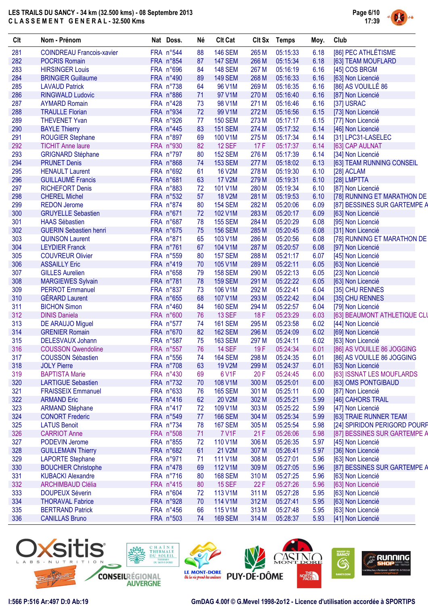

| Clt | Nom - Prénom                     | Nat Doss.          | Né | <b>Clt Cat</b> | <b>Clt Sx</b> | <b>Temps</b> | Moy. | Club                         |
|-----|----------------------------------|--------------------|----|----------------|---------------|--------------|------|------------------------------|
| 281 | <b>COINDREAU Francois-xavier</b> | FRA n°544          | 88 | <b>146 SEM</b> | 265 M         | 05:15:33     | 6.18 | [86] PEC ATHLÉTISME          |
| 282 | <b>POCRIS Romain</b>             | FRA n°854          | 87 | <b>147 SEM</b> | 266 M         | 05:15:34     | 6.18 | [63] TEAM MOUFLARD           |
| 283 | <b>HIRSINGER Louis</b>           | FRA n°696          | 84 | <b>148 SEM</b> | 267 M         | 05:16:19     | 6.16 | [45] COS BRGM                |
| 284 | <b>BRINGIER Guillaume</b>        | FRA n°490          | 89 | <b>149 SEM</b> | 268 M         | 05:16:33     | 6.16 | [63] Non Licencié            |
| 285 | <b>LAVAUD Patrick</b>            | FRA n°738          | 64 | 96 V1M         | 269 M         | 05:16:35     | 6.16 | [86] AS VOUILLÉ 86           |
| 286 | <b>RINGWALD Ludovic</b>          | FRA n°886          | 71 | 97 V1M         | 270 M         | 05:16:40     | 6.16 | [87] Non Licencié            |
| 287 | <b>AYMARD Romain</b>             | FRA n°428          | 73 | 98 V1M         | 271 M         | 05:16:46     | 6.16 | [37] USRAC                   |
| 288 | <b>TRAULLE Florian</b>           | FRA n°934          | 72 | 99 V1M         | 272 M         | 05:16:56     | 6.15 | [73] Non Licencié            |
| 289 | <b>THEVENET Yvan</b>             | FRA n°926          | 77 | <b>150 SEM</b> | 273 M         | 05:17:17     | 6.15 | [77] Non Licencié            |
| 290 | <b>BAYLE Thierry</b>             | FRA n°445          | 83 | <b>151 SEM</b> | 274 M         | 05:17:32     | 6.14 |                              |
|     |                                  |                    |    |                |               |              |      | [46] Non Licencié            |
| 291 | <b>ROUGIER Stephane</b>          | FRA n°897          | 69 | 100 V1M        | 275 M         | 05:17:34     | 6.14 | [31] LPC31-LASELEC           |
| 292 | <b>TICHIT Anne laure</b>         | FRA n°930          | 82 | <b>12 SEF</b>  | 17F           | 05:17:37     | 6.14 | [63] CAP AULNAT              |
| 293 | <b>GRIGNARD Stéphane</b>         | FRA n°797          | 80 | <b>152 SEM</b> | 276 M         | 05:17:39     | 6.14 | [34] Non Licencié            |
| 294 | <b>PRUNET Denis</b>              | FRA n°868          | 74 | <b>153 SEM</b> | 277 M         | 05:18:02     | 6.13 | [63] TEAM RUNNING CONSEIL    |
| 295 | <b>HENAULT Laurent</b>           | FRA n°692          | 61 | <b>16 V2M</b>  | 278 M         | 05:19:30     | 6.10 | $[28]$ ACLAM                 |
| 296 | <b>GUILLAUMÉ Francis</b>         | FRA n°681          | 63 | <b>17 V2M</b>  | 279 M         | 05:19:31     | 6.10 | [28] LMPTTA                  |
| 297 | <b>RICHEFORT Denis</b>           | FRA n°883          | 72 | 101 V1M        | 280 M         | 05:19:34     | 6.10 | [87] Non Licencié            |
| 298 | <b>CHEREL Michel</b>             | FRA n°532          | 57 | <b>18 V2M</b>  | 281 M         | 05:19:53     | 6.10 | [78] RUNNING ET MARATHON DE  |
| 299 | <b>REDON Jerome</b>              | FRA n°874          | 80 | <b>154 SEM</b> | 282 M         | 05:20:06     | 6.09 | [87] BESSINES SUR GARTEMPE A |
| 300 | <b>GRUYELLE Sebastien</b>        | FRA n°671          | 72 | 102 V1M        | 283 M         | 05:20:17     | 6.09 | [63] Non Licencié            |
| 301 | <b>HAAS Sébastien</b>            | FRA n°687          | 78 | <b>155 SEM</b> | 284 M         | 05:20:29     | 6.08 | [95] Non Licencié            |
| 302 | <b>GUERIN Sebastien henri</b>    | FRA n°675          | 75 | <b>156 SEM</b> | 285 M         | 05:20:45     | 6.08 | [31] Non Licencié            |
| 303 | <b>QUINSON Laurent</b>           | FRA n°871          | 65 | 103 V1M        | 286 M         | 05:20:56     | 6.08 | [78] RUNNING ET MARATHON DE  |
| 304 | <b>LEYDIER Franck</b>            | FRA n°761          | 67 | 104 V1M        | 287 M         | 05:20:57     | 6.08 | [97] Non Licencié            |
| 305 | <b>COUVREUR Olivier</b>          | FRA n°559          | 80 | <b>157 SEM</b> | 288 M         | 05:21:17     | 6.07 | [45] Non Licencié            |
| 306 | <b>ASSAILLY Eric</b>             | FRA n°419          | 70 | 105 V1M        | 289 M         | 05:22:11     | 6.05 | [63] Non Licencié            |
| 307 | <b>GILLES Aurelien</b>           | FRA n°658          | 79 | <b>158 SEM</b> | 290 M         | 05:22:13     | 6.05 | [23] Non Licencié            |
|     |                                  |                    |    |                |               | 05:22:22     |      |                              |
| 308 | <b>MARGIEWES Sylvain</b>         | FRA n°781          | 78 | <b>159 SEM</b> | 291 M         |              | 6.05 | [63] Non Licencié            |
| 309 | <b>PERROT Emmanuel</b>           | FRA n°837          | 73 | 106 V1M        | 292 M         | 05:22:41     | 6.04 | [35] CHU RENNES              |
| 310 | <b>GÉRARD Laurent</b>            | FRA n°655          | 68 | 107 V1M        | 293 M         | 05:22:42     | 6.04 | [35] CHU RENNES              |
| 311 | <b>BICHON Simon</b>              | FRA n°460          | 84 | <b>160 SEM</b> | 294 M         | 05:22:57     | 6.04 | [79] Non Licencié            |
| 312 | <b>DINIS Daniela</b>             | FRA n°600          | 76 | <b>13 SEF</b>  | 18F           | 05:23:29     | 6.03 | [63] BEAUMONT ATHLETIQUE CLU |
| 313 | <b>DE ARAUJO Miguel</b>          | FRA n°577          | 74 | <b>161 SEM</b> | 295 M         | 05:23:58     | 6.02 | [44] Non Licencié            |
| 314 | <b>GRENIER Romain</b>            | FRA n°670          | 82 | <b>162 SEM</b> | 296 M         | 05:24:09     | 6.02 | [69] Non Licencié            |
| 315 | DELESVAUX Johann                 | FRA n°587          | 75 | <b>163 SEM</b> | 297 M         | 05:24:11     | 6.02 | [63] Non Licencié            |
| 316 | <b>COUSSON Qwendoline</b>        | FRA n°557          | 76 | <b>14 SEF</b>  | 19F           | 05:24:34     | 6.01 | [86] AS VOUILLE 86 JOGGING   |
| 317 | <b>COUSSON Sébastien</b>         | FRA n°556          | 74 | <b>164 SEM</b> | 298 M         | 05:24:35     | 6.01 | [86] AS VOUILLE 86 JOGGING   |
| 318 | <b>JOLY Pierre</b>               | FRA n°708          | 63 | 19 V2M         | 299 M         | 05:24:37     | 6.01 | [63] Non Licencié            |
| 319 | <b>BAPTISTA Marie</b>            | FRA n°430          | 69 | 6 V1F          | 20 F          | 05:24:45     | 6.00 | [63] ISSNAT LES MOUFLARDS    |
| 320 | <b>LARTIGUE Sebastien</b>        | FRA n°732          | 70 | 108 V1M        | 300 M         | 05:25:01     | 6.00 | [63] OMS PONTGIBAUD          |
| 321 | <b>FRAISSEIX Emmanuel</b>        | FRA n°633          | 76 | <b>165 SEM</b> | 301 M         | 05:25:11     | 6.00 | [87] Non Licencié            |
| 322 | <b>ARMAND Eric</b>               | FRA n°416          | 62 | 20 V2M         | 302 M         | 05:25:21     | 5.99 | [46] CAHORS TRAIL            |
| 323 | <b>ARMAND Stéphane</b>           | FRA n°417          | 72 | 109 V1M        | 303 M         | 05:25:22     | 5.99 | [47] Non Licencié            |
| 324 | <b>CONORT Frederic</b>           | FRA n°549          | 77 | <b>166 SEM</b> | 304 M         | 05:25:34     | 5.99 | [63] TRAIE RUNNER TEAM       |
| 325 | <b>LATUS Benoit</b>              | FRA n°734          | 78 | <b>167 SEM</b> | 305 M         | 05:25:54     | 5.98 | [24] SPIRIDON PERIGORD POURP |
| 326 | <b>CARRIOT Anne</b>              | FRA n°508          | 71 | 7 V1F          | 21F           | 05:26:06     | 5.98 | [87] BESSINES SUR GARTEMPE A |
| 327 | PODEVIN Jerome                   | FRA n°855          | 72 | 110 V1M        | 306 M         | 05:26:35     | 5.97 | [45] Non Licencié            |
| 328 | <b>GUILLEMAIN Thierry</b>        | FRA n°682          | 61 | 21 V2M         | 307 M         | 05:26:41     | 5.97 | [36] Non Licencié            |
| 329 | <b>LAPORTE Stephane</b>          | FRA n°971          | 71 | 111 V1M        | 308 M         | 05:27:01     | 5.96 | [63] Non Licencié            |
| 330 |                                  | FRA n°478          | 69 | 112 V1M        | 309 M         | 05:27:05     |      | [87] BESSINES SUR GARTEMPE A |
|     | <b>BOUCHIER Christophe</b>       |                    |    |                |               |              | 5.96 |                              |
| 331 | <b>KUBACKI Alexandre</b>         | FRA n°716          | 80 | <b>168 SEM</b> | 310 M         | 05:27:25     | 5.96 | [63] Non Licencié            |
| 332 | <b>ARCHIMBAUD Clélia</b>         | FRA n°415          | 80 | <b>15 SEF</b>  | 22F           | 05:27:26     | 5.96 | [63] Non Licencié            |
| 333 | <b>DOUPEUX Séverin</b>           | FRA n°604          | 72 | 113 V1M        | 311 M         | 05:27:28     | 5.95 | [63] Non Licencié            |
| 334 | <b>THORAVAL Fabrice</b>          | FRA n°928          | 70 | 114 V1M        | 312 M         | 05:27:41     | 5.95 | [63] Non Licencié            |
| 335 | <b>BERTRAND Patrick</b>          | FRA $n^{\circ}456$ | 66 | 115 V1M        | 313 M         | 05:27:48     | 5.95 | [63] Non Licencié            |
| 336 | <b>CANILLAS Bruno</b>            | FRA n°503          | 74 | <b>169 SEM</b> | 314 M         | 05:28:37     | 5.93 | [41] Non Licencié            |

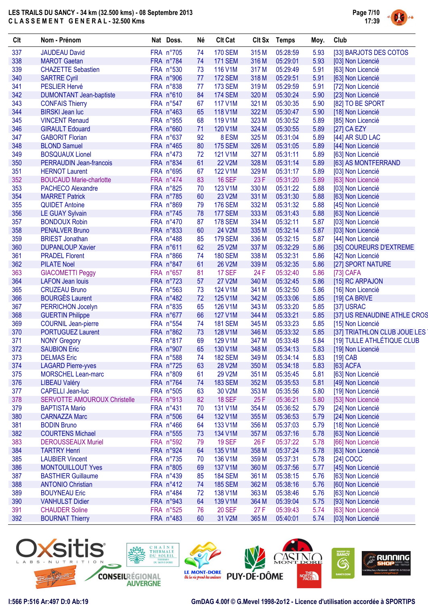

| <b>CIt</b> | Nom - Prénom                                           | Nat Doss.              | Né | <b>Clt Cat</b> |       | Clt Sx Temps         | Moy. | Club                         |
|------------|--------------------------------------------------------|------------------------|----|----------------|-------|----------------------|------|------------------------------|
| 337        | <b>JAUDEAU David</b>                                   | FRA n°705              | 74 | <b>170 SEM</b> | 315 M | 05:28:59             | 5.93 | [33] BARJOTS DES COTOS       |
| 338        | <b>MAROT</b> Gaetan                                    | FRA n°784              | 74 | <b>171 SEM</b> | 316 M | 05:29:01             | 5.93 | [03] Non Licencié            |
| 339        | <b>CHAZETTE Sebastien</b>                              | FRA n°530              | 73 | 116 V1M        | 317 M | 05:29:49             | 5.91 | [63] Non Licencié            |
| 340        | <b>SARTRE Cyril</b>                                    | FRA n°906              | 77 | <b>172 SEM</b> | 318 M | 05:29:51             | 5.91 | [63] Non Licencié            |
| 341        | PESLIER Hervé                                          | FRA n°838              | 77 | <b>173 SEM</b> | 319 M | 05:29:59             | 5.91 | [72] Non Licencié            |
| 342        | <b>DUMONTANT Jean-baptiste</b>                         | FRA n°610              | 84 | <b>174 SEM</b> | 320 M | 05:30:24             | 5.90 | [23] Non Licencié            |
| 343        | <b>CONFAIS Thierry</b>                                 | FRA n°547              | 67 | 117 V1M        | 321 M | 05:30:35             | 5.90 | [82] TO BE SPORT             |
| 344        | <b>BIRSKI Jean luc</b>                                 | FRA n°463              | 65 | 118 V1M        | 322 M | 05:30:47             | 5.90 | [18] Non Licencié            |
| 345        | <b>VINCENT Renaud</b>                                  | FRA n°955              | 68 | 119 V1M        | 323 M | 05:30:52             | 5.89 | [85] Non Licencié            |
| 346        | <b>GIRAULT Edouard</b>                                 | FRA n°660              | 71 | 120 V1M        | 324 M | 05:30:55             | 5.89 | [27] CA EZY                  |
| 347        | <b>GABORIT Florian</b>                                 | FRA n°637              | 92 | 8 ESM          | 325 M | 05:31:04             | 5.89 | [44] AR SUD LAC              |
| 348        | <b>BLOND Samuel</b>                                    | FRA n°465              | 80 | <b>175 SEM</b> | 326 M | 05:31:05             | 5.89 | [44] Non Licencié            |
| 349        | <b>BOSQUAUX Lionel</b>                                 | FRA n°473              | 72 | 121 V1M        | 327 M | 05:31:11             | 5.89 | [63] Non Licencié            |
| 350        | <b>PERRAUDIN Jean-francois</b>                         | FRA n°834              | 61 | <b>22 V2M</b>  | 328 M | 05:31:14             | 5.89 | [63] AS MONTFERRAND          |
| 351        | <b>HERNOT Laurent</b>                                  | FRA n°695              | 67 | 122 V1M        | 329 M | 05:31:17             | 5.89 | [03] Non Licencié            |
| 352        | <b>BOUCAUD Marie-charlotte</b>                         | FRA n°474              | 83 | <b>16 SEF</b>  | 23 F  | 05:31:20             | 5.89 | [63] Non Licencié            |
| 353        | <b>PACHECO Alexandre</b>                               | FRA n°825              | 70 | 123 V1M        | 330 M | 05:31:22             | 5.88 | [03] Non Licencié            |
| 354        | <b>MARRET Patrick</b>                                  | FRA n°785              | 60 | 23 V2M         | 331 M | 05:31:30             | 5.88 | [63] Non Licencié            |
| 355        | <b>QUIDET Antoine</b>                                  | FRA n°869              | 79 | <b>176 SEM</b> | 332 M | 05:31:32             | 5.88 | [45] Non Licencié            |
| 356        | <b>LE GUAY Sylvain</b>                                 | FRA n°745              | 78 | <b>177 SEM</b> | 333 M | 05:31:43             | 5.88 | [63] Non Licencié            |
| 357        | <b>BONDOUX Robin</b>                                   | FRA n°470              | 87 | <b>178 SEM</b> | 334 M | 05:32:11             | 5.87 | [03] Non Licencié            |
| 358        | <b>PENALVER Bruno</b>                                  | FRA n°833              | 60 | 24 V2M         | 335 M | 05:32:14             | 5.87 | [03] Non Licencié            |
| 359        | <b>BRIEST Jonathan</b>                                 | FRA n°488              | 85 | <b>179 SEM</b> | 336 M | 05:32:15             | 5.87 | [44] Non Licencié            |
| 360        | <b>DUPANLOUP Xavier</b>                                | FRA n°611              | 62 | 25 V2M         | 337 M | 05:32:29             | 5.86 | [35] COUREURS D'EXTREME      |
| 361        | <b>PRADEL Florent</b>                                  | FRA n°866              | 74 | <b>180 SEM</b> | 338 M | 05:32:31             | 5.86 | [42] Non Licencié            |
| 362        | <b>PILATE Noel</b>                                     | FRA n°847              | 61 | 26 V2M         | 339 M | 05:32:35             | 5.86 | [27] SPORT NATURE            |
| 363        | <b>GIACOMETTI Peggy</b>                                | FRA n°657              | 81 | <b>17 SEF</b>  | 24 F  | 05:32:40             | 5.86 | [73] CAFA                    |
| 364        | <b>LAFON Jean louis</b>                                | FRA n°723              | 57 | 27 V2M         | 340 M | 05:32:45             | 5.86 | [15] RC ARPAJON              |
| 365        | <b>CRUZEAU Bruno</b>                                   | FRA n°563              | 73 | 124 V1M        | 341 M | 05:32:50             | 5.86 | [16] Non Licencié            |
| 366        | <b>BOURGÈS Laurent</b>                                 | FRA n°482              | 72 | 125 V1M        | 342 M | 05:33:06             | 5.85 | [19] CA BRIVE                |
| 367        | PERRICHON Jocelyn                                      | FRA n°835              | 65 | 126 V1M        | 343 M | 05:33:20             | 5.85 | [37] USRAC                   |
| 368        | <b>GUERTIN Philippe</b>                                | FRA n°677              | 66 | 127 V1M        | 344 M | 05:33:21             | 5.85 | [37] US RENAUDINE ATHLE CROS |
| 369        | <b>COURNIL Jean-pierre</b>                             | FRA n°554              | 74 | <b>181 SEM</b> | 345 M | 05:33:23             | 5.85 | [15] Non Licencié            |
| 370        | <b>PORTUGUEZ Laurent</b>                               | FRA n°862              | 73 | 128 V1M        | 346 M | 05:33:32             | 5.85 | [37] TRIATHLON CLUB JOUE LES |
| 371        | <b>NONY Gregory</b>                                    | FRA n°817              | 69 | 129 V1M        | 347 M | 05:33:48             | 5.84 | [19] TULLE ATHLÉTIQUE CLUB   |
| 372        | <b>SAUBION Eric</b>                                    | FRA n°907              | 65 | 130 V1M        | 348 M | 05:34:13             | 5.83 | [19] Non Licencié            |
| 373        | <b>DELMAS</b> Eric                                     | FRA n°588              | 74 | <b>182 SEM</b> | 349 M | 05:34:14             | 5.83 | $[19]$ CAB                   |
|            |                                                        |                        |    |                |       |                      |      |                              |
| 374<br>375 | <b>LAGARD Pierre-yves</b><br><b>MORSCHEL Lean-marc</b> | FRA n°725<br>FRA n°809 | 63 | 28 V2M         | 350 M | 05:34:18             | 5.83 | [63] ACFA                    |
|            | <b>LIBEAU Valéry</b>                                   | FRA n°764              | 61 | 29 V2M         | 351 M | 05:35:45<br>05:35:53 | 5.81 | [63] Non Licencié            |
| 376        |                                                        | FRA n°505              | 74 | <b>183 SEM</b> | 352 M |                      | 5.81 | [49] Non Licencié            |
| 377        | <b>CAPELLI Jean-luc</b>                                | FRA n°913              | 63 | 30 V2M         | 353 M | 05:35:56             | 5.80 | [19] Non Licencié            |
| 378<br>379 | <b>SERVOTTE AMOUROUX Christelle</b>                    | FRA n°431              | 82 | <b>18 SEF</b>  | 25F   | 05:36:21             | 5.80 | [53] Non Licencié            |
|            | <b>BAPTISTA Mario</b>                                  |                        | 70 | 131 V1M        | 354 M | 05:36:52             | 5.79 | [24] Non Licencié            |
| 380        | <b>CARNAZZA Marc</b>                                   | FRA n°506              | 64 | 132 V1M        | 355 M | 05:36:53             | 5.79 | [24] Non Licencié            |
| 381        | <b>BODIN Bruno</b>                                     | FRA n°466              | 64 | 133 V1M        | 356 M | 05:37:03             | 5.79 | [18] Non Licencié            |
| 382        | <b>COURTENS Michael</b>                                | FRA n°555              | 73 | 134 V1M        | 357 M | 05:37:16             | 5.78 | [63] Non Licencié            |
| 383        | <b>DEROUSSEAUX Muriel</b>                              | FRA n°592              | 79 | <b>19 SEF</b>  | 26 F  | 05:37:22             | 5.78 | [66] Non Licencié            |
| 384        | <b>TARTRY Henri</b>                                    | FRA n°924              | 64 | 135 V1M        | 358 M | 05:37:24             | 5.78 | [63] Non Licencié            |
| 385        | <b>LAUBIER Vincent</b>                                 | FRA n°735              | 70 | 136 V1M        | 359 M | 05:37:31             | 5.78 | [24] COCC                    |
| 386        | <b>MONTOUILLOUT Yves</b>                               | FRA n°805              | 69 | 137 V1M        | 360 M | 05:37:56             | 5.77 | [45] Non Licencié            |
| 387        | <b>BASTHIER Guillaume</b>                              | FRA n°439              | 85 | <b>184 SEM</b> | 361 M | 05:38:15             | 5.76 | [63] Non Licencié            |
| 388        | <b>ANTONIO Christian</b>                               | FRA n°412              | 74 | <b>185 SEM</b> | 362 M | 05:38:16             | 5.76 | [60] Non Licencié            |
| 389        | <b>BOUYNEAU Eric</b>                                   | FRA n°484              | 72 | 138 V1M        | 363 M | 05:38:46             | 5.76 | [63] Non Licencié            |
| 390        | <b>VANHULST Didier</b>                                 | FRA n°943              | 64 | 139 V1M        | 364 M | 05:39:04             | 5.75 | [93] Non Licencié            |
| 391        | <b>CHAUDER Soline</b>                                  | FRA n°525              | 76 | <b>20 SEF</b>  | 27 F  | 05:39:43             | 5.74 | [63] Non Licencié            |
| 392        | <b>BOURNAT Thierry</b>                                 | FRA n°483              | 60 | 31 V2M         | 365 M | 05:40:01             | 5.74 | [03] Non Licencié            |

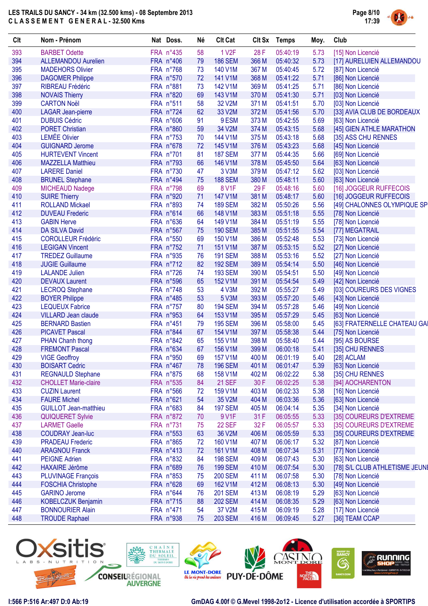

| 393<br>394<br>395 | <b>BARBET Odette</b>         |           |    |                |       |          |      |                                |
|-------------------|------------------------------|-----------|----|----------------|-------|----------|------|--------------------------------|
|                   |                              | FRA n°435 | 58 | <b>1 V2F</b>   | 28 F  | 05:40:19 | 5.73 | [15] Non Licencié              |
|                   | <b>ALLEMANDOU Aurelien</b>   | FRA n°406 | 79 | <b>186 SEM</b> | 366 M | 05:40:32 | 5.73 | [17] AURELUIEN ALLEMANDOU      |
|                   | <b>MADEHORS Olivier</b>      | FRA n°768 | 73 | 140 V1M        | 367 M | 05:40:45 | 5.72 | [87] Non Licencié              |
| 396               | <b>DAGOMER Philippe</b>      | FRA n°570 | 72 | 141 V1M        | 368 M | 05:41:22 | 5.71 | [86] Non Licencié              |
| 397               | <b>RIBREAU Frédéric</b>      | FRA n°881 | 73 | 142 V1M        | 369 M | 05:41:25 | 5.71 | [86] Non Licencié              |
| 398               | <b>NOVAIS Thierry</b>        | FRA n°820 | 69 | 143 V1M        | 370 M | 05:41:30 | 5.71 | [03] Non Licencié              |
| 399               | <b>CARTON Noël</b>           | FRA n°511 | 58 | 32 V2M         | 371 M | 05:41:51 | 5.70 | [03] Non Licencié              |
| 400               | <b>LAGAR Jean-pierre</b>     | FRA n°724 | 62 | 33 V2M         | 372 M | 05:41:56 | 5.70 | [33] AVIA CLUB DE BORDEAUX     |
| 401               | <b>DUBUIS Cédric</b>         | FRA n°606 | 91 | 9 ESM          | 373 M | 05:42:55 | 5.69 | [63] Non Licencié              |
| 402               | <b>PORET Christian</b>       | FRA n°860 | 59 | 34 V2M         | 374 M | 05:43:15 | 5.68 | [45] GIEN ATHLE MARATHON       |
| 403               | <b>LEMÉE Olivier</b>         | FRA n°753 | 70 | 144 V1M        | 375 M | 05:43:18 | 5.68 | [35] ASS CHU RENNES            |
| 404               | <b>GUIGNARD Jerome</b>       | FRA n°678 | 72 | 145 V1M        | 376 M | 05:43:23 | 5.68 | [45] Non Licencié              |
| 405               | <b>HURTEVENT Vincent</b>     | FRA n°701 | 81 | <b>187 SEM</b> | 377 M | 05:44:35 | 5.66 | [69] Non Licencié              |
| 406               | <b>MAZZELLA Matthieu</b>     | FRA n°793 | 66 | 146 V1M        | 378 M | 05:45:50 | 5.64 | [63] Non Licencié              |
| 407               | <b>LARERE Daniel</b>         | FRA n°730 | 47 | 3 V3M          | 379 M | 05:47:12 | 5.62 | [03] Non Licencié              |
| 408               | <b>BRUNEL Stephane</b>       | FRA n°494 | 75 | <b>188 SEM</b> | 380 M | 05:48:11 | 5.60 | [63] Non Licencié              |
| 409               | MICHEAUD Nadege              | FRA n°798 | 69 | 8 V1F          | 29F   | 05:48:16 | 5.60 | [16] JOGGEUR RUFFECOIS         |
| 410               | <b>SUIRE Thierry</b>         | FRA n°920 | 71 | 147 V1M        | 381 M | 05:48:17 | 5.60 | [16] JOGGEUR RUFFECOIS         |
| 411               | <b>ROLLAND Mickael</b>       | FRA n°893 | 74 | <b>189 SEM</b> | 382 M | 05:50:26 | 5.56 | [49] CHALONNES OLYMPIQUE SP    |
| 412               | <b>DUVEAU Frederic</b>       | FRA n°614 | 66 | 148 V1M        | 383 M | 05:51:18 | 5.55 | [78] Non Licencié              |
| 413               | <b>GABIN Herve</b>           | FRA n°636 | 64 | 149 V1M        | 384 M | 05:51:19 | 5.55 | [78] Non Licencié              |
| 414               | <b>DA SILVA David</b>        | FRA n°567 | 75 | <b>190 SEM</b> | 385 M | 05:51:55 | 5.54 | [77] MEGATRAIL                 |
| 415               | <b>COROLLEUR Frédéric</b>    | FRA n°550 | 69 | 150 V1M        | 386 M |          | 5.53 |                                |
| 416               |                              |           |    |                |       | 05:52:48 |      | [73] Non Licencié              |
|                   | <b>LEGIGAN Vincent</b>       | FRA n°752 | 71 | 151 V1M        | 387 M | 05:53:15 | 5.52 | [27] Non Licencié              |
| 417               | <b>TREDEZ Guillaume</b>      | FRA n°935 | 76 | <b>191 SEM</b> | 388 M | 05:53:16 | 5.52 | [27] Non Licencié              |
| 418               | <b>JUGIE Guillaume</b>       | FRA n°712 | 82 | <b>192 SEM</b> | 389 M | 05:54:14 | 5.50 | [46] Non Licencié              |
| 419               | <b>LALANDE Julien</b>        | FRA n°726 | 74 | <b>193 SEM</b> | 390 M | 05:54:51 | 5.50 | [49] Non Licencié              |
| 420               | <b>DEVAUX Laurent</b>        | FRA n°596 | 65 | 152 V1M        | 391 M | 05:54:54 | 5.49 | [42] Non Licencié              |
| 421               | <b>LECROQ Stephane</b>       | FRA n°748 | 53 | 4 V3M          | 392 M | 05:55:27 | 5.49 | [03] COUREURS DES VIGNES       |
| 422               | <b>BOYER Philippe</b>        | FRA n°485 | 53 | 5 V3M          | 393 M | 05:57:20 | 5.46 | [43] Non Licencié              |
| 423               | <b>LEQUEUX Fabrice</b>       | FRA n°757 | 80 | <b>194 SEM</b> | 394 M | 05:57:28 | 5.46 | [49] Non Licencié              |
| 424               | <b>VILLARD Jean claude</b>   | FRA n°953 | 64 | 153 V1M        | 395 M | 05:57:29 | 5.45 | [63] Non Licencié              |
| 425               | <b>BERNARD Bastien</b>       | FRA n°451 | 79 | <b>195 SEM</b> | 396 M | 05:58:00 | 5.45 | [63] FRATERNELLE CHATEAU GAI   |
| 426               | <b>PICAVET Pascal</b>        | FRA n°844 | 67 | 154 V1M        | 397 M | 05:58:38 | 5.44 | [75] Non Licencié              |
| 427               | PHAN Chanh thong             | FRA n°842 | 65 | 155 V1M        | 398 M | 05:58:40 | 5.44 | [95] AS BOURSE                 |
| 428               | <b>FREMONT Pascal</b>        | FRA n°634 | 67 | 156 V1M        | 399 M | 06:00:18 | 5.41 | [35] CHU RENNES                |
| 429               | <b>VIGE Geoffroy</b>         | FRA n°950 | 69 | 157 V1M        | 400 M | 06:01:19 | 5.40 | [28] ACLAM                     |
| 430               | <b>BOISART Cedric</b>        | FRA n°467 | 78 | <b>196 SEM</b> | 401 M | 06:01:47 | 5.39 | [63] Non Licencié              |
| 431               | <b>REGNAULD Stephane</b>     | FRA n°875 | 68 | 158 V1M        | 402 M | 06:02:22 | 5.38 | [35] CHU RENNES                |
| 432               | <b>CHOLLET Marie-claire</b>  | FRA n°535 | 84 | <b>21 SEF</b>  | 30 F  | 06:02:25 | 5.38 | [94] AOCHARENTON               |
| 433               | <b>CUZIN Laurent</b>         | FRA n°566 | 72 | 159 V1M        | 403 M | 06:02:33 | 5.38 | [16] Non Licencié              |
| 434               | <b>FAURE Michel</b>          | FRA n°621 | 54 | 35 V2M         | 404 M | 06:03:36 | 5.36 | [63] Non Licencié              |
| 435               | <b>GUILLOT Jean-matthieu</b> | FRA n°683 | 84 | <b>197 SEM</b> | 405 M | 06:04:14 | 5.35 | [34] Non Licencié              |
| 436               | <b>QUIQUERET Sylvie</b>      | FRA n°872 | 70 | 9 V1F          | 31 F  | 06:05:55 | 5.33 | [35] COUREURS D'EXTREME        |
| 437               | <b>LARMET Gaelle</b>         | FRA n°731 | 75 | <b>22 SEF</b>  | 32 F  | 06:05:57 | 5.33 | [35] COUREURS D'EXTREME        |
| 438               | <b>COUDRAY Jean-luc</b>      | FRA n°553 | 63 | 36 V2M         | 406 M | 06:05:59 | 5.33 | [35] COUREURS D'EXTREME        |
| 439               | <b>PRADEAU Frederic</b>      | FRA n°865 | 72 | 160 V1M        | 407 M | 06:06:17 | 5.32 | [87] Non Licencié              |
| 440               | <b>ARAGNOU Franck</b>        | FRA n°413 | 72 | 161 V1M        | 408 M | 06:07:34 | 5.31 | [77] Non Licencié              |
| 441               | <b>PEIGNE Adrien</b>         | FRA n°832 | 84 | <b>198 SEM</b> | 409 M | 06:07:43 | 5.30 | [63] Non Licencié              |
| 442               | <b>HAXAIRE Jérôme</b>        | FRA n°689 | 76 | <b>199 SEM</b> | 410 M | 06:07:54 | 5.30 | [78] S/L CLUB ATHLETISME JEUNI |
| 443               | <b>PLUVINAGE François</b>    | FRA n°853 | 75 | <b>200 SEM</b> | 411 M | 06:07:58 | 5.30 | [78] Non Licencié              |
| 444               | <b>FOSCHIA Christophe</b>    | FRA n°628 | 69 | 162 V1M        | 412 M | 06:08:13 | 5.30 | [49] Non Licencié              |
| 445               | <b>GARINO Jerome</b>         | FRA n°644 | 76 | <b>201 SEM</b> | 413 M | 06:08:19 | 5.29 | [63] Non Licencié              |
| 446               | <b>KOBELCZUK Benjamin</b>    | FRA n°715 | 88 | <b>202 SEM</b> | 414 M | 06:08:35 | 5.29 | [63] Non Licencié              |
| 447               | <b>BONNOURIER Alain</b>      | FRA n°471 | 54 | 37 V2M         | 415 M | 06:09:19 | 5.28 | [17] Non Licencié              |
| 448               | <b>TROUDE Raphael</b>        | FRA n°938 | 75 | <b>203 SEM</b> | 416 M | 06:09:45 | 5.27 | [36] TEAM CCAP                 |

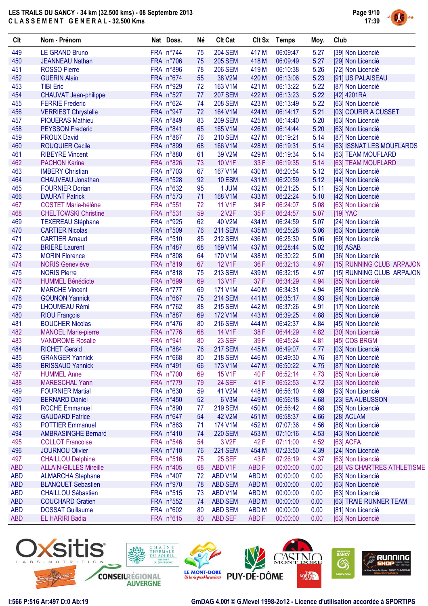

| Clt        | Nom - Prénom                  | Nat Doss. | Né | <b>Clt Cat</b>     | Clt Sx           | Temps    | Moy. | Club                        |
|------------|-------------------------------|-----------|----|--------------------|------------------|----------|------|-----------------------------|
| 449        | <b>LE GRAND Bruno</b>         | FRA n°744 | 75 | <b>204 SEM</b>     | 417 M            | 06:09:47 | 5.27 | [39] Non Licencié           |
| 450        | <b>JEANNEAU Nathan</b>        | FRA n°706 | 75 | <b>205 SEM</b>     | 418 M            | 06:09:49 | 5.27 | [29] Non Licencié           |
| 451        | <b>ROSSO Pierre</b>           | FRA n°896 | 78 | <b>206 SEM</b>     | 419 M            | 06:10:38 | 5.26 | [72] Non Licencié           |
| 452        | <b>GUERIN Alain</b>           | FRA n°674 | 55 | 38 V2M             | 420 M            | 06:13:06 | 5.23 | [91] US PALAISEAU           |
| 453        | <b>TIBI Eric</b>              | FRA n°929 | 72 | 163 V1M            | 421 M            | 06:13:22 | 5.22 | [87] Non Licencié           |
| 454        | CHAUVAT Jean-philippe         | FRA n°527 | 77 | <b>207 SEM</b>     | 422 M            | 06:13:23 | 5.22 | [42] 4201RA                 |
| 455        | <b>FERRIE Frederic</b>        | FRA n°624 | 74 | <b>208 SEM</b>     | 423 M            | 06:13:49 | 5.22 | [63] Non Licencié           |
| 456        | <b>VERRIEST Chrystelle</b>    | FRA n°947 | 72 | 164 V1M            | 424 M            | 06:14:17 | 5.21 | [03] COURIR A CUSSET        |
| 457        | <b>PIQUERAS Mathieu</b>       | FRA n°849 | 83 | <b>209 SEM</b>     | 425 M            | 06:14:40 | 5.20 | [63] Non Licencié           |
| 458        | <b>PEYSSON Frederic</b>       | FRA n°841 | 65 | 165 V1M            | 426 M            | 06:14:44 | 5.20 | [63] Non Licencié           |
| 459        | <b>PROUX David</b>            | FRA n°867 | 76 | <b>210 SEM</b>     | 427 M            | 06:19:21 | 5.14 | [87] Non Licencié           |
| 460        | <b>ROUQUIER Cecile</b>        | FRA n°899 | 68 | 166 V1M            | 428 M            | 06:19:31 | 5.14 | [63] ISSNAT LES MOUFLARDS   |
| 461        | <b>RIBEYRE Vincent</b>        | FRA n°880 | 61 | 39 V2M             | 429 M            | 06:19:34 | 5.14 | [63] TEAM MOUFLARD          |
| 462        | <b>PACHON Karine</b>          | FRA n°826 | 73 | 10 V1F             | 33 F             | 06:19:35 | 5.14 | [63] TEAM MOUFLARD          |
| 463        | <b>IMBERY Christian</b>       | FRA n°703 | 67 | 167 V1M            | 430 M            | 06:20:54 | 5.12 | [63] Non Licencié           |
| 464        | <b>CHAUVEAU Jonathan</b>      | FRA n°528 | 92 | 10 <sub>ESM</sub>  | 431 M            | 06:20:59 | 5.12 | [44] Non Licencié           |
| 465        | <b>FOURNIER Dorian</b>        | FRA n°632 | 95 | 1 JUM              | 432 M            | 06:21:25 | 5.11 | [93] Non Licencié           |
| 466        | <b>DAURAT Patrick</b>         | FRA n°573 | 71 | 168 V1M            | 433 M            | 06:22:24 | 5.10 | [42] Non Licencié           |
| 467        | <b>COSTET Marie-héléne</b>    | FRA n°551 | 72 | <b>11 V1F</b>      | 34 F             | 06:24:07 | 5.08 | [63] Non Licencié           |
| 468        | <b>CHELTOWSKI Christine</b>   | FRA n°531 | 59 | 2 V <sub>2</sub> F | 35 F             | 06:24:57 | 5.07 | [19] YAC                    |
| 469        | <b>TEXEREAU Stéphane</b>      | FRA n°925 | 62 | 40 V2M             | 434 M            | 06:24:59 | 5.07 | [24] Non Licencié           |
| 470        | <b>CARTIER Nicolas</b>        | FRA n°509 | 76 | <b>211 SEM</b>     | 435 M            | 06:25:28 | 5.06 | [63] Non Licencié           |
| 471        | <b>CARTIER Arnaud</b>         | FRA n°510 | 85 | <b>212 SEM</b>     | 436 M            | 06:25:30 | 5.06 | [69] Non Licencié           |
| 472        | <b>BRIERE Laurent</b>         | FRA n°487 | 68 | 169 V1M            | 437 M            | 06:28:44 | 5.02 | $[18]$ ASAB                 |
| 473        | <b>MORIN Florence</b>         | FRA n°808 | 64 | 170 V1M            | 438 M            | 06:30:22 | 5.00 | [36] Non Licencié           |
| 474        | <b>NORIS Geneviève</b>        | FRA n°819 | 67 | <b>12 V1F</b>      | 36 F             | 06:32:13 | 4.97 | [15] RUNNING CLUB ARPAJON   |
| 475        | <b>NORIS Pierre</b>           | FRA n°818 | 75 | <b>213 SEM</b>     | 439 M            | 06:32:15 | 4.97 | [15] RUNNING CLUB ARPAJON   |
| 476        | <b>HUMMEL Bénédicte</b>       | FRA n°699 | 69 | 13 V1F             | 37 F             | 06:34:29 | 4.94 | [85] Non Licencié           |
| 477        | <b>MARCHE Vincent</b>         | FRA n°777 | 69 | 171 V1M            | 440 M            | 06:34:31 | 4.94 | [85] Non Licencié           |
| 478        | <b>GOUNON Yannick</b>         | FRA n°667 | 75 | <b>214 SEM</b>     | 441 M            | 06:35:17 | 4.93 | [94] Non Licencié           |
| 479        | LHOUMEAU Rémi                 | FRA n°762 | 88 | <b>215 SEM</b>     | 442 M            | 06:37:26 | 4.91 | [17] Non Licencié           |
| 480        | <b>RIOU François</b>          | FRA n°887 | 69 | 172 V1M            | 443 M            | 06:39:25 | 4.88 | [85] Non Licencié           |
| 481        | <b>BOUCHER Nicolas</b>        | FRA n°476 | 80 | <b>216 SEM</b>     | 444 M            | 06:42:37 | 4.84 | [45] Non Licencié           |
| 482        | <b>MANOEL Marie-pierre</b>    | FRA n°776 | 68 | 14 V1F             | 38 F             | 06:44:29 | 4.82 | [30] Non Licencié           |
| 483        | <b>VANDROME Rosalie</b>       | FRA n°941 | 80 | 23 SEF             | 39 F             | 06:45:24 | 4.81 | [45] COS BRGM               |
| 484        | <b>RICHET Gerald</b>          | FRA n°884 | 76 | <b>217 SEM</b>     | 445 M            | 06:49:07 | 4.77 | [03] Non Licencié           |
| 485        | <b>GRANGER Yannick</b>        | FRA n°668 | 80 | <b>218 SEM</b>     | 446 M            | 06:49:30 | 4.76 | [87] Non Licencié           |
| 486        | <b>BRISSAUD Yannick</b>       | FRA n°491 | 66 | 173 V1M            | 447 M            | 06:50:22 | 4.75 | [87] Non Licencié           |
| 487        | <b>HUMMEL Anne</b>            | FRA n°700 | 69 | 15 V1F             | 40 F             | 06:52:14 | 4.73 | [85] Non Licencié           |
| 488        | <b>MARESCHAL Yann</b>         | FRA n°779 | 79 | <b>24 SEF</b>      | 41 F             | 06:52:53 | 4.72 | [33] Non Licencié           |
| 489        | <b>FOURNIER Martial</b>       | FRA n°630 | 59 | 41 V2M             | 448 M            | 06:56:10 | 4.69 | [93] Non Licencié           |
| 490        | <b>BERNARD Daniel</b>         | FRA n°450 | 52 | 6 V3M              | 449 M            | 06:56:18 | 4.68 | [23] EA AUBUSSON            |
| 491        | <b>ROCHE Emmanuel</b>         | FRA n°890 | 77 | <b>219 SEM</b>     | 450 M            | 06:56:42 | 4.68 | [35] Non Licencié           |
| 492        | <b>GAUDARD Patrice</b>        | FRA n°647 | 54 | 42 V2M             | 451 M            | 06:58:37 | 4.66 | [28] ACLAM                  |
| 493        | <b>POTTIER Emmanuel</b>       | FRA n°863 | 71 | 174 V1M            | 452 M            | 07:07:36 | 4.56 | [86] Non Licencié           |
| 494        | <b>AMBRASINGHE Bernard</b>    | FRA n°410 | 74 | <b>220 SEM</b>     | 453 M            | 07:10:16 | 4.53 | [43] Non Licencié           |
| 495        | <b>COLLOT Francoise</b>       | FRA n°546 | 54 | 3 V <sub>2</sub> F | 42 F             | 07:11:00 | 4.52 | [63] ACFA                   |
| 496        | <b>JOURNOU Olivier</b>        | FRA n°710 | 76 | <b>221 SEM</b>     | 454 M            | 07:23:50 | 4.39 | [24] Non Licencié           |
| 497        | <b>CHAILLOU Delphine</b>      | FRA n°516 | 75 | <b>25 SEF</b>      | 43 F             | 07:26:19 | 4.37 | [63] Non Licencié           |
| <b>ABD</b> | <b>ALLAIN-GILLES Mireille</b> | FRA n°405 | 68 | ABD V1F            | ABD <sub>F</sub> | 00:00:00 | 0.00 | [28] VS CHARTRES ATHLETISME |
| <b>ABD</b> | <b>ALMARCHA Stephane</b>      | FRA n°407 | 72 | ABD V1M            | ABD <sub>M</sub> | 00:00:00 | 0.00 | [63] Non Licencié           |
| <b>ABD</b> | <b>BLANQUET Sebastien</b>     | FRA n°970 | 78 | <b>ABD SEM</b>     | ABD <sub>M</sub> | 00:00:00 | 0.00 | [63] Non Licencié           |
| <b>ABD</b> | <b>CHAILLOU Sébastien</b>     | FRA n°515 | 73 | ABD V1M            | <b>ABD M</b>     | 00:00:00 | 0.00 | [63] Non Licencié           |
| <b>ABD</b> | <b>COUCHARD Gratien</b>       | FRA n°552 | 74 | <b>ABD SEM</b>     | ABD <sub>M</sub> | 00:00:00 | 0.00 | [63] TRAIE RUNNER TEAM      |
| <b>ABD</b> | <b>DOSSAT Guillaume</b>       | FRA n°602 | 80 | <b>ABD SEM</b>     | <b>ABDM</b>      | 00:00:00 | 0.00 | [81] Non Licencié           |
| <b>ABD</b> | EL HARIRI Badia               | FRA n°615 | 80 | <b>ABD SEF</b>     | ABD <sub>F</sub> | 00:00:00 | 0.00 | [63] Non Licencié           |
|            |                               |           |    |                    |                  |          |      |                             |